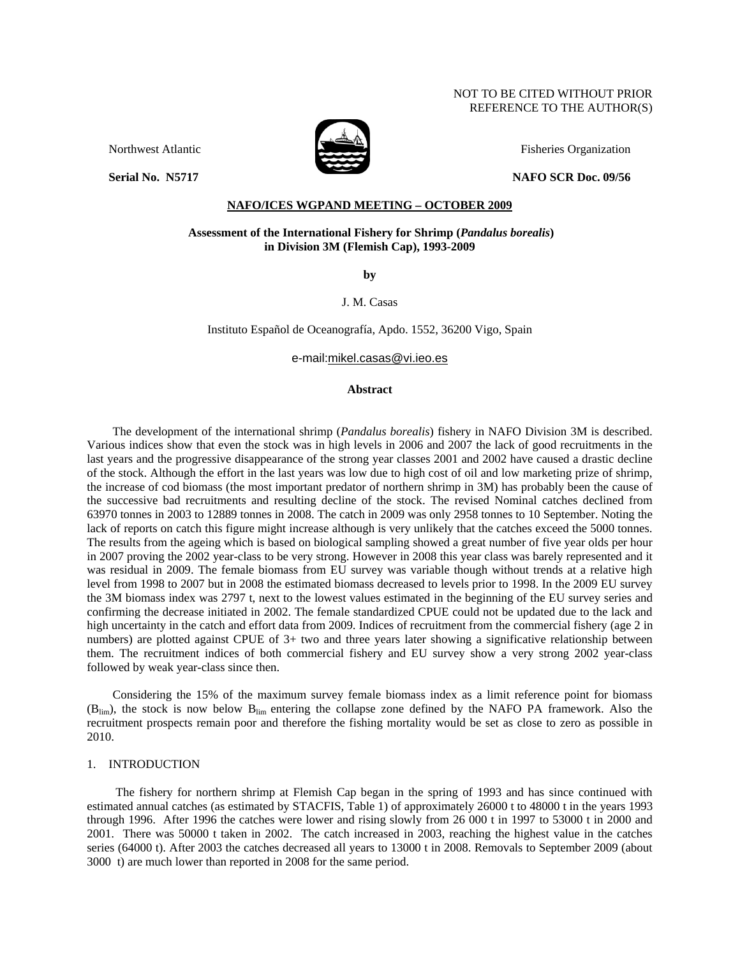### NOT TO BE CITED WITHOUT PRIOR REFERENCE TO THE AUTHOR(S)



Northwest Atlantic Fisheries Organization

**Serial No. 36717** 2016 2017 2022 2023 2024 2025 2022 2023 2024 2025 2022 2023 2024 2025 2022 2023 2024 2025 2022 2023 2024 2022 2023 2024 2022 2023 2022 2023 2022 2023 2024 2022 2023 2024 2025 2022 2023 2024 2025 2022 202

# **NAFO/ICES WGPAND MEETING – OCTOBER 2009**

### **Assessment of the International Fishery for Shrimp (***Pandalus borealis***) in Division 3M (Flemish Cap), 1993-2009**

**by** 

J. M. Casas

Instituto Español de Oceanografía, Apdo. 1552, 36200 Vigo, Spain

e-mail:mikel.casas@vi.ieo.es

### **Abstract**

The development of the international shrimp (*Pandalus borealis*) fishery in NAFO Division 3M is described. Various indices show that even the stock was in high levels in 2006 and 2007 the lack of good recruitments in the last years and the progressive disappearance of the strong year classes 2001 and 2002 have caused a drastic decline of the stock. Although the effort in the last years was low due to high cost of oil and low marketing prize of shrimp, the increase of cod biomass (the most important predator of northern shrimp in 3M) has probably been the cause of the successive bad recruitments and resulting decline of the stock. The revised Nominal catches declined from 63970 tonnes in 2003 to 12889 tonnes in 2008. The catch in 2009 was only 2958 tonnes to 10 September. Noting the lack of reports on catch this figure might increase although is very unlikely that the catches exceed the 5000 tonnes. The results from the ageing which is based on biological sampling showed a great number of five year olds per hour in 2007 proving the 2002 year-class to be very strong. However in 2008 this year class was barely represented and it was residual in 2009. The female biomass from EU survey was variable though without trends at a relative high level from 1998 to 2007 but in 2008 the estimated biomass decreased to levels prior to 1998. In the 2009 EU survey the 3M biomass index was 2797 t, next to the lowest values estimated in the beginning of the EU survey series and confirming the decrease initiated in 2002. The female standardized CPUE could not be updated due to the lack and high uncertainty in the catch and effort data from 2009. Indices of recruitment from the commercial fishery (age 2 in numbers) are plotted against CPUE of 3+ two and three years later showing a significative relationship between them. The recruitment indices of both commercial fishery and EU survey show a very strong 2002 year-class followed by weak year-class since then.

Considering the 15% of the maximum survey female biomass index as a limit reference point for biomass  $(B_{lim})$ , the stock is now below  $B_{lim}$  entering the collapse zone defined by the NAFO PA framework. Also the recruitment prospects remain poor and therefore the fishing mortality would be set as close to zero as possible in 2010.

## 1. INTRODUCTION

 The fishery for northern shrimp at Flemish Cap began in the spring of 1993 and has since continued with estimated annual catches (as estimated by STACFIS, Table 1) of approximately 26000 t to 48000 t in the years 1993 through 1996. After 1996 the catches were lower and rising slowly from 26 000 t in 1997 to 53000 t in 2000 and 2001. There was 50000 t taken in 2002. The catch increased in 2003, reaching the highest value in the catches series (64000 t). After 2003 the catches decreased all years to 13000 t in 2008. Removals to September 2009 (about 3000 t) are much lower than reported in 2008 for the same period.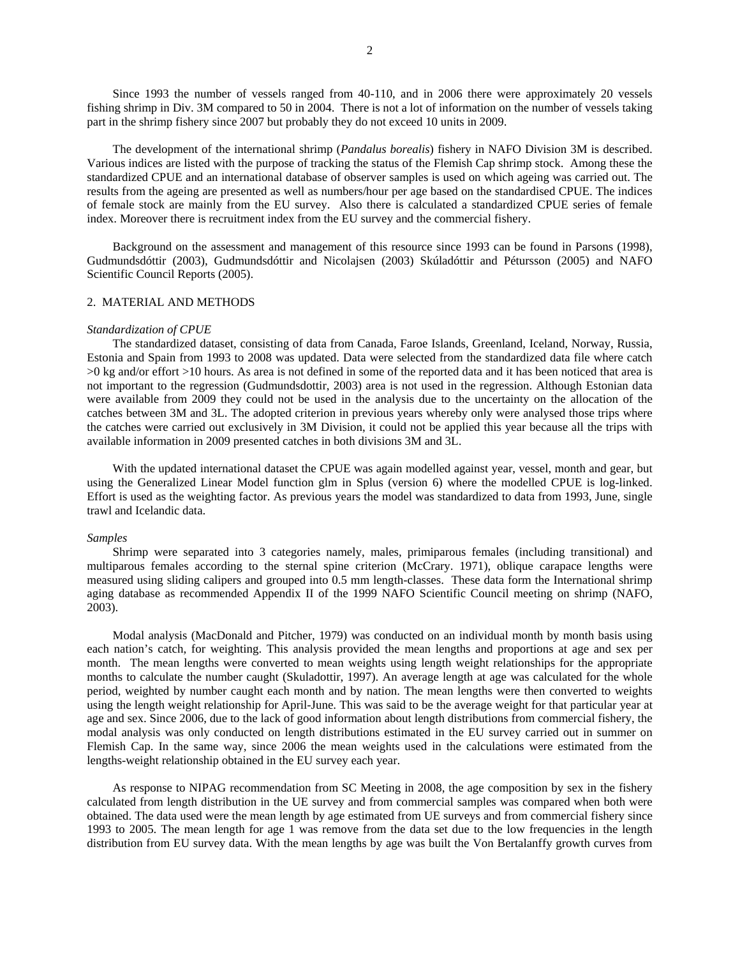Since 1993 the number of vessels ranged from 40-110, and in 2006 there were approximately 20 vessels fishing shrimp in Div. 3M compared to 50 in 2004. There is not a lot of information on the number of vessels taking part in the shrimp fishery since 2007 but probably they do not exceed 10 units in 2009.

The development of the international shrimp (*Pandalus borealis*) fishery in NAFO Division 3M is described. Various indices are listed with the purpose of tracking the status of the Flemish Cap shrimp stock. Among these the standardized CPUE and an international database of observer samples is used on which ageing was carried out. The results from the ageing are presented as well as numbers/hour per age based on the standardised CPUE. The indices of female stock are mainly from the EU survey. Also there is calculated a standardized CPUE series of female index. Moreover there is recruitment index from the EU survey and the commercial fishery.

Background on the assessment and management of this resource since 1993 can be found in Parsons (1998), Gudmundsdóttir (2003), Gudmundsdóttir and Nicolajsen (2003) Skúladóttir and Pétursson (2005) and NAFO Scientific Council Reports (2005).

#### 2. MATERIAL AND METHODS

#### *Standardization of CPUE*

The standardized dataset, consisting of data from Canada, Faroe Islands, Greenland, Iceland, Norway, Russia, Estonia and Spain from 1993 to 2008 was updated. Data were selected from the standardized data file where catch >0 kg and/or effort >10 hours. As area is not defined in some of the reported data and it has been noticed that area is not important to the regression (Gudmundsdottir, 2003) area is not used in the regression. Although Estonian data were available from 2009 they could not be used in the analysis due to the uncertainty on the allocation of the catches between 3M and 3L. The adopted criterion in previous years whereby only were analysed those trips where the catches were carried out exclusively in 3M Division, it could not be applied this year because all the trips with available information in 2009 presented catches in both divisions 3M and 3L.

With the updated international dataset the CPUE was again modelled against year, vessel, month and gear, but using the Generalized Linear Model function glm in Splus (version 6) where the modelled CPUE is log-linked. Effort is used as the weighting factor. As previous years the model was standardized to data from 1993, June, single trawl and Icelandic data.

#### *Samples*

Shrimp were separated into 3 categories namely, males, primiparous females (including transitional) and multiparous females according to the sternal spine criterion (McCrary. 1971), oblique carapace lengths were measured using sliding calipers and grouped into 0.5 mm length-classes. These data form the International shrimp aging database as recommended Appendix II of the 1999 NAFO Scientific Council meeting on shrimp (NAFO, 2003).

Modal analysis (MacDonald and Pitcher, 1979) was conducted on an individual month by month basis using each nation's catch, for weighting. This analysis provided the mean lengths and proportions at age and sex per month. The mean lengths were converted to mean weights using length weight relationships for the appropriate months to calculate the number caught (Skuladottir, 1997). An average length at age was calculated for the whole period, weighted by number caught each month and by nation. The mean lengths were then converted to weights using the length weight relationship for April-June. This was said to be the average weight for that particular year at age and sex. Since 2006, due to the lack of good information about length distributions from commercial fishery, the modal analysis was only conducted on length distributions estimated in the EU survey carried out in summer on Flemish Cap. In the same way, since 2006 the mean weights used in the calculations were estimated from the lengths-weight relationship obtained in the EU survey each year.

As response to NIPAG recommendation from SC Meeting in 2008, the age composition by sex in the fishery calculated from length distribution in the UE survey and from commercial samples was compared when both were obtained. The data used were the mean length by age estimated from UE surveys and from commercial fishery since 1993 to 2005. The mean length for age 1 was remove from the data set due to the low frequencies in the length distribution from EU survey data. With the mean lengths by age was built the Von Bertalanffy growth curves from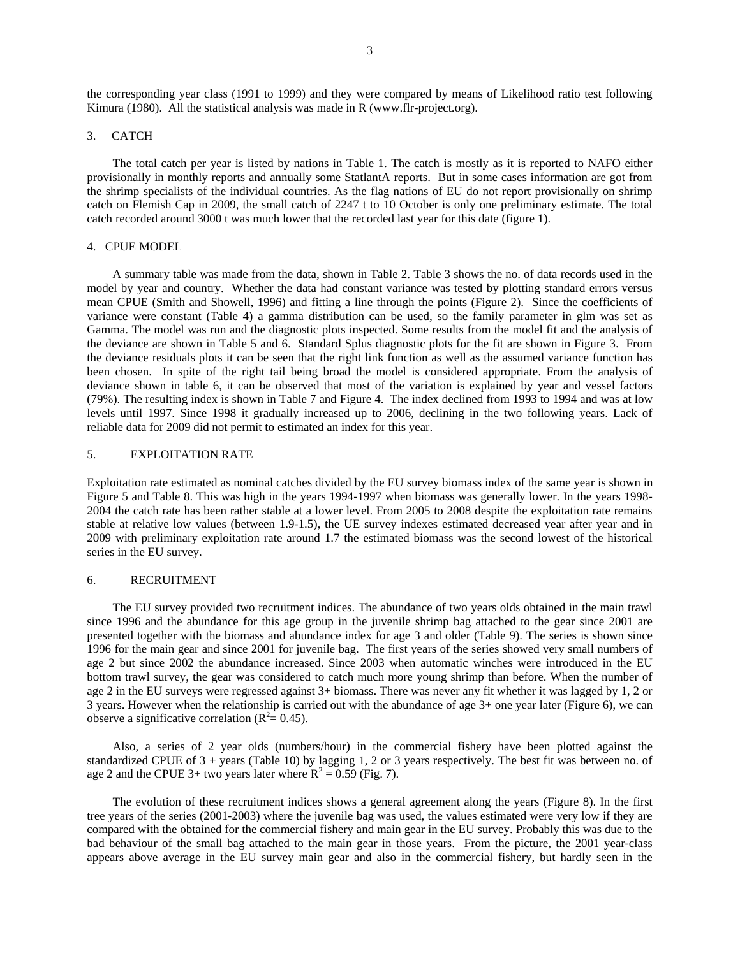the corresponding year class (1991 to 1999) and they were compared by means of Likelihood ratio test following Kimura (1980). All the statistical analysis was made in R (www.flr-project.org).

### 3. CATCH

The total catch per year is listed by nations in Table 1. The catch is mostly as it is reported to NAFO either provisionally in monthly reports and annually some StatlantA reports. But in some cases information are got from the shrimp specialists of the individual countries. As the flag nations of EU do not report provisionally on shrimp catch on Flemish Cap in 2009, the small catch of 2247 t to 10 October is only one preliminary estimate. The total catch recorded around 3000 t was much lower that the recorded last year for this date (figure 1).

### 4. CPUE MODEL

A summary table was made from the data, shown in Table 2. Table 3 shows the no. of data records used in the model by year and country. Whether the data had constant variance was tested by plotting standard errors versus mean CPUE (Smith and Showell, 1996) and fitting a line through the points (Figure 2). Since the coefficients of variance were constant (Table 4) a gamma distribution can be used, so the family parameter in glm was set as Gamma. The model was run and the diagnostic plots inspected. Some results from the model fit and the analysis of the deviance are shown in Table 5 and 6. Standard Splus diagnostic plots for the fit are shown in Figure 3. From the deviance residuals plots it can be seen that the right link function as well as the assumed variance function has been chosen. In spite of the right tail being broad the model is considered appropriate. From the analysis of deviance shown in table 6, it can be observed that most of the variation is explained by year and vessel factors (79%). The resulting index is shown in Table 7 and Figure 4. The index declined from 1993 to 1994 and was at low levels until 1997. Since 1998 it gradually increased up to 2006, declining in the two following years. Lack of reliable data for 2009 did not permit to estimated an index for this year.

## 5. EXPLOITATION RATE

Exploitation rate estimated as nominal catches divided by the EU survey biomass index of the same year is shown in Figure 5 and Table 8. This was high in the years 1994-1997 when biomass was generally lower. In the years 1998- 2004 the catch rate has been rather stable at a lower level. From 2005 to 2008 despite the exploitation rate remains stable at relative low values (between 1.9-1.5), the UE survey indexes estimated decreased year after year and in 2009 with preliminary exploitation rate around 1.7 the estimated biomass was the second lowest of the historical series in the EU survey.

### 6. RECRUITMENT

The EU survey provided two recruitment indices. The abundance of two years olds obtained in the main trawl since 1996 and the abundance for this age group in the juvenile shrimp bag attached to the gear since 2001 are presented together with the biomass and abundance index for age 3 and older (Table 9). The series is shown since 1996 for the main gear and since 2001 for juvenile bag. The first years of the series showed very small numbers of age 2 but since 2002 the abundance increased. Since 2003 when automatic winches were introduced in the EU bottom trawl survey, the gear was considered to catch much more young shrimp than before. When the number of age 2 in the EU surveys were regressed against 3+ biomass. There was never any fit whether it was lagged by 1, 2 or 3 years. However when the relationship is carried out with the abundance of age 3+ one year later (Figure 6), we can observe a significative correlation ( $R^2 = 0.45$ ).

Also, a series of 2 year olds (numbers/hour) in the commercial fishery have been plotted against the standardized CPUE of 3 + years (Table 10) by lagging 1, 2 or 3 years respectively. The best fit was between no. of age 2 and the CPUE 3+ two years later where  $R^2 = 0.59$  (Fig. 7).

The evolution of these recruitment indices shows a general agreement along the years (Figure 8). In the first tree years of the series (2001-2003) where the juvenile bag was used, the values estimated were very low if they are compared with the obtained for the commercial fishery and main gear in the EU survey. Probably this was due to the bad behaviour of the small bag attached to the main gear in those years. From the picture, the 2001 year-class appears above average in the EU survey main gear and also in the commercial fishery, but hardly seen in the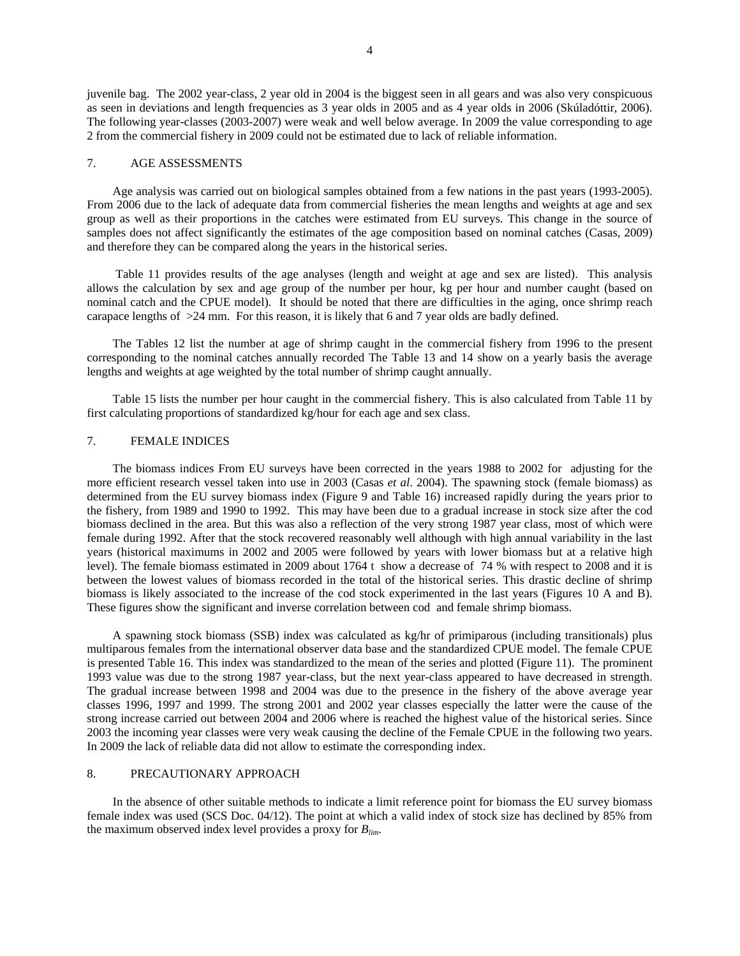juvenile bag. The 2002 year-class, 2 year old in 2004 is the biggest seen in all gears and was also very conspicuous as seen in deviations and length frequencies as 3 year olds in 2005 and as 4 year olds in 2006 (Skúladóttir, 2006). The following year-classes (2003-2007) were weak and well below average. In 2009 the value corresponding to age 2 from the commercial fishery in 2009 could not be estimated due to lack of reliable information.

### 7. AGE ASSESSMENTS

Age analysis was carried out on biological samples obtained from a few nations in the past years (1993-2005). From 2006 due to the lack of adequate data from commercial fisheries the mean lengths and weights at age and sex group as well as their proportions in the catches were estimated from EU surveys. This change in the source of samples does not affect significantly the estimates of the age composition based on nominal catches (Casas, 2009) and therefore they can be compared along the years in the historical series.

 Table 11 provides results of the age analyses (length and weight at age and sex are listed). This analysis allows the calculation by sex and age group of the number per hour, kg per hour and number caught (based on nominal catch and the CPUE model). It should be noted that there are difficulties in the aging, once shrimp reach carapace lengths of  $>24$  mm. For this reason, it is likely that 6 and 7 year olds are badly defined.

The Tables 12 list the number at age of shrimp caught in the commercial fishery from 1996 to the present corresponding to the nominal catches annually recorded The Table 13 and 14 show on a yearly basis the average lengths and weights at age weighted by the total number of shrimp caught annually.

Table 15 lists the number per hour caught in the commercial fishery. This is also calculated from Table 11 by first calculating proportions of standardized kg/hour for each age and sex class.

### 7. FEMALE INDICES

The biomass indices From EU surveys have been corrected in the years 1988 to 2002 for adjusting for the more efficient research vessel taken into use in 2003 (Casas *et al*. 2004). The spawning stock (female biomass) as determined from the EU survey biomass index (Figure 9 and Table 16) increased rapidly during the years prior to the fishery, from 1989 and 1990 to 1992. This may have been due to a gradual increase in stock size after the cod biomass declined in the area. But this was also a reflection of the very strong 1987 year class, most of which were female during 1992. After that the stock recovered reasonably well although with high annual variability in the last years (historical maximums in 2002 and 2005 were followed by years with lower biomass but at a relative high level). The female biomass estimated in 2009 about 1764 t show a decrease of 74 % with respect to 2008 and it is between the lowest values of biomass recorded in the total of the historical series. This drastic decline of shrimp biomass is likely associated to the increase of the cod stock experimented in the last years (Figures 10 A and B). These figures show the significant and inverse correlation between cod and female shrimp biomass.

A spawning stock biomass (SSB) index was calculated as kg/hr of primiparous (including transitionals) plus multiparous females from the international observer data base and the standardized CPUE model. The female CPUE is presented Table 16. This index was standardized to the mean of the series and plotted (Figure 11). The prominent 1993 value was due to the strong 1987 year-class, but the next year-class appeared to have decreased in strength. The gradual increase between 1998 and 2004 was due to the presence in the fishery of the above average year classes 1996, 1997 and 1999. The strong 2001 and 2002 year classes especially the latter were the cause of the strong increase carried out between 2004 and 2006 where is reached the highest value of the historical series. Since 2003 the incoming year classes were very weak causing the decline of the Female CPUE in the following two years. In 2009 the lack of reliable data did not allow to estimate the corresponding index.

### 8. PRECAUTIONARY APPROACH

In the absence of other suitable methods to indicate a limit reference point for biomass the EU survey biomass female index was used (SCS Doc. 04/12). The point at which a valid index of stock size has declined by 85% from the maximum observed index level provides a proxy for *Blim*.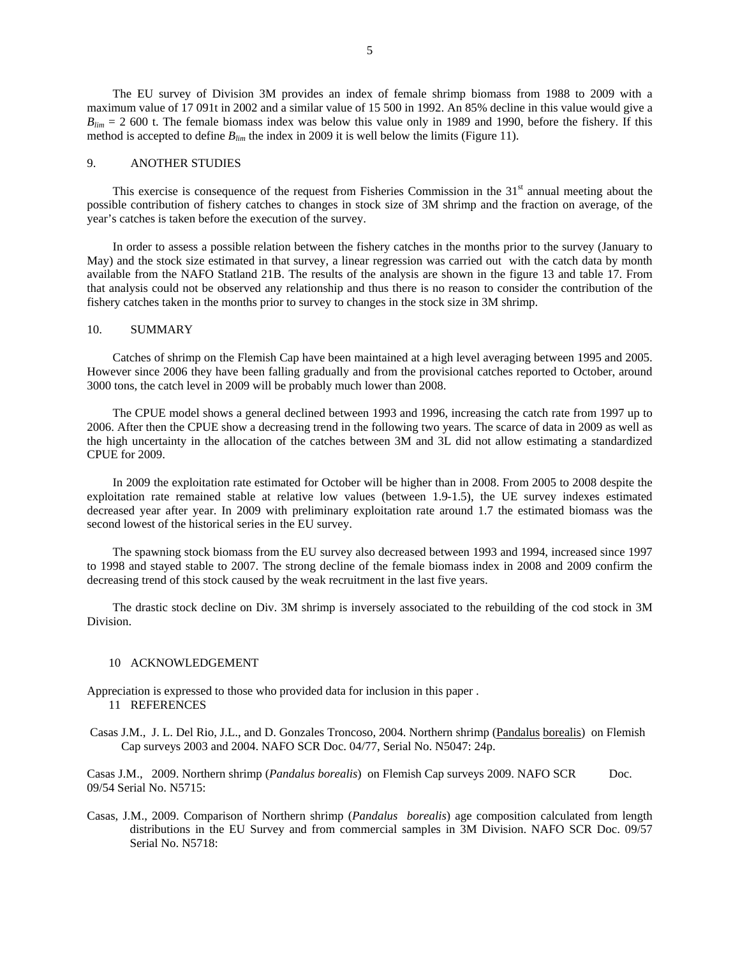The EU survey of Division 3M provides an index of female shrimp biomass from 1988 to 2009 with a maximum value of 17 091t in 2002 and a similar value of 15 500 in 1992. An 85% decline in this value would give a  $B_{lim}$  = 2 600 t. The female biomass index was below this value only in 1989 and 1990, before the fishery. If this method is accepted to define  $B_{lim}$  the index in 2009 it is well below the limits (Figure 11).

### 9. ANOTHER STUDIES

This exercise is consequence of the request from Fisheries Commission in the  $31<sup>st</sup>$  annual meeting about the possible contribution of fishery catches to changes in stock size of 3M shrimp and the fraction on average, of the year's catches is taken before the execution of the survey.

In order to assess a possible relation between the fishery catches in the months prior to the survey (January to May) and the stock size estimated in that survey, a linear regression was carried out with the catch data by month available from the NAFO Statland 21B. The results of the analysis are shown in the figure 13 and table 17. From that analysis could not be observed any relationship and thus there is no reason to consider the contribution of the fishery catches taken in the months prior to survey to changes in the stock size in 3M shrimp.

### 10. SUMMARY

Catches of shrimp on the Flemish Cap have been maintained at a high level averaging between 1995 and 2005. However since 2006 they have been falling gradually and from the provisional catches reported to October, around 3000 tons, the catch level in 2009 will be probably much lower than 2008.

The CPUE model shows a general declined between 1993 and 1996, increasing the catch rate from 1997 up to 2006. After then the CPUE show a decreasing trend in the following two years. The scarce of data in 2009 as well as the high uncertainty in the allocation of the catches between 3M and 3L did not allow estimating a standardized CPUE for 2009.

In 2009 the exploitation rate estimated for October will be higher than in 2008. From 2005 to 2008 despite the exploitation rate remained stable at relative low values (between 1.9-1.5), the UE survey indexes estimated decreased year after year. In 2009 with preliminary exploitation rate around 1.7 the estimated biomass was the second lowest of the historical series in the EU survey.

The spawning stock biomass from the EU survey also decreased between 1993 and 1994, increased since 1997 to 1998 and stayed stable to 2007. The strong decline of the female biomass index in 2008 and 2009 confirm the decreasing trend of this stock caused by the weak recruitment in the last five years.

The drastic stock decline on Div. 3M shrimp is inversely associated to the rebuilding of the cod stock in 3M Division.

#### 10 ACKNOWLEDGEMENT

Appreciation is expressed to those who provided data for inclusion in this paper .

- 11 REFERENCES
- Casas J.M., J. L. Del Rio, J.L., and D. Gonzales Troncoso, 2004. Northern shrimp (Pandalus borealis) on Flemish Cap surveys 2003 and 2004. NAFO SCR Doc. 04/77, Serial No. N5047: 24p.

Casas J.M., 2009. Northern shrimp (*Pandalus borealis*) on Flemish Cap surveys 2009. NAFO SCR Doc. 09/54 Serial No. N5715:

Casas, J.M., 2009. Comparison of Northern shrimp (*Pandalus borealis*) age composition calculated from length distributions in the EU Survey and from commercial samples in 3M Division. NAFO SCR Doc. 09/57 Serial No. N5718: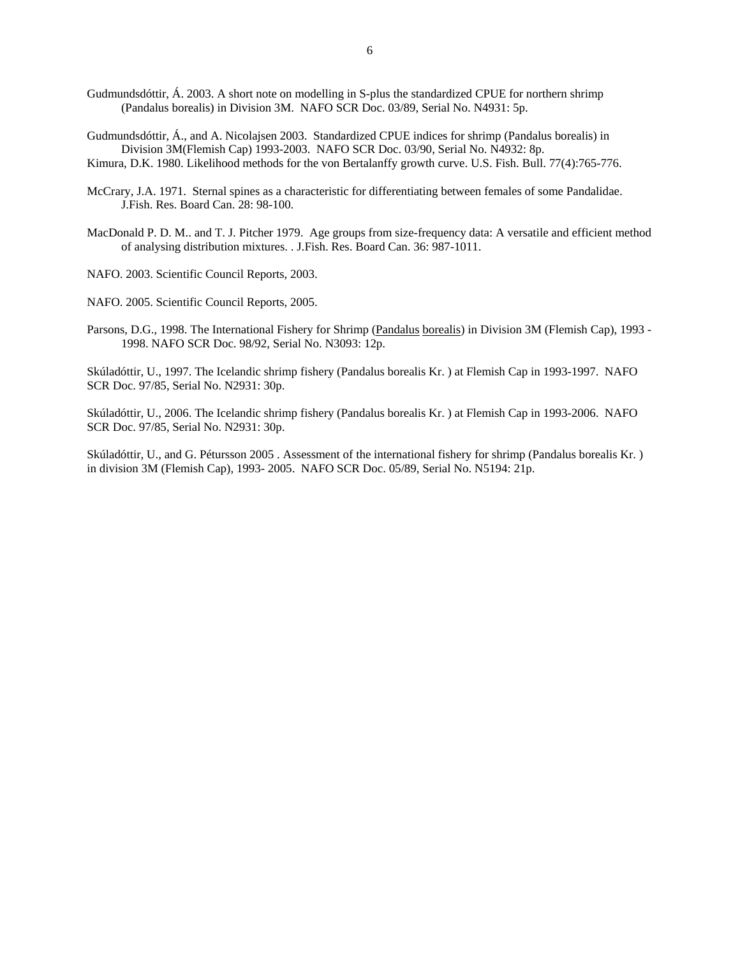- Gudmundsdóttir, Á. 2003. A short note on modelling in S-plus the standardized CPUE for northern shrimp (Pandalus borealis) in Division 3M. NAFO SCR Doc. 03/89, Serial No. N4931: 5p.
- Gudmundsdóttir, Á., and A. Nicolajsen 2003. Standardized CPUE indices for shrimp (Pandalus borealis) in Division 3M(Flemish Cap) 1993-2003. NAFO SCR Doc. 03/90, Serial No. N4932: 8p.
- Kimura, D.K. 1980. Likelihood methods for the von Bertalanffy growth curve. U.S. Fish. Bull. 77(4):765-776.
- McCrary, J.A. 1971. Sternal spines as a characteristic for differentiating between females of some Pandalidae. J.Fish. Res. Board Can. 28: 98-100.
- MacDonald P. D. M.. and T. J. Pitcher 1979. Age groups from size-frequency data: A versatile and efficient method of analysing distribution mixtures. . J.Fish. Res. Board Can. 36: 987-1011.
- NAFO. 2003. Scientific Council Reports, 2003.
- NAFO. 2005. Scientific Council Reports, 2005.
- Parsons, D.G., 1998. The International Fishery for Shrimp (Pandalus borealis) in Division 3M (Flemish Cap), 1993 -1998. NAFO SCR Doc. 98/92, Serial No. N3093: 12p.

Skúladóttir, U., 1997. The Icelandic shrimp fishery (Pandalus borealis Kr. ) at Flemish Cap in 1993-1997. NAFO SCR Doc. 97/85, Serial No. N2931: 30p.

Skúladóttir, U., 2006. The Icelandic shrimp fishery (Pandalus borealis Kr. ) at Flemish Cap in 1993-2006. NAFO SCR Doc. 97/85, Serial No. N2931: 30p.

Skúladóttir, U., and G. Pétursson 2005 . Assessment of the international fishery for shrimp (Pandalus borealis Kr. ) in division 3M (Flemish Cap), 1993- 2005. NAFO SCR Doc. 05/89, Serial No. N5194: 21p.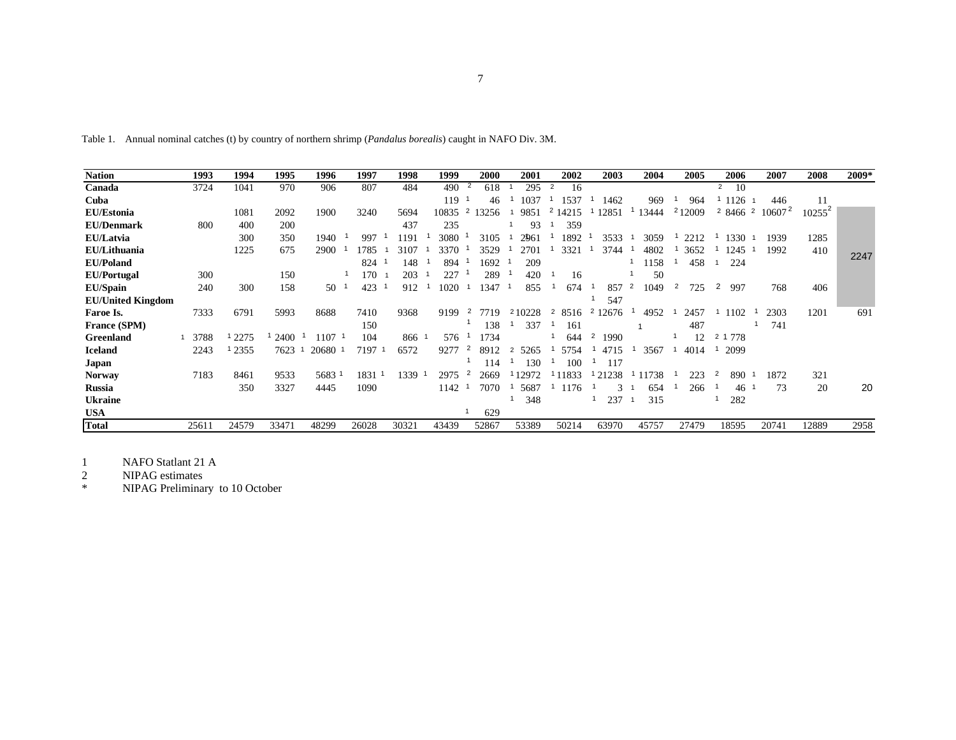| ۰ |  |
|---|--|
|   |  |
|   |  |

Table 1. Annual nominal catches (t) by country of northern shrimp (*Pandalus borealis*) caught in NAFO Div. 3M.

| <b>Nation</b>            | 1993  | 1994   | 1995  | 1996  | 1997  | 1998  | 1999  | 2000                   | 2001      | 2002                   | 2003                    | 2004      | 2005     | 2006                     | 2007      | 2008      | 2009* |
|--------------------------|-------|--------|-------|-------|-------|-------|-------|------------------------|-----------|------------------------|-------------------------|-----------|----------|--------------------------|-----------|-----------|-------|
| Canada                   | 3724  | 1041   | 970   | 906   | 807   | 484   | 490   | $\overline{2}$<br>618  | 295       | 16<br>2                |                         |           |          | 10<br>$\overline{2}$     |           |           |       |
| Cuba                     |       |        |       |       |       |       | 119   | 46                     | 1037      | 1537                   | 1462                    | 969       | 964      | 1126                     | 446       | 11        |       |
| <b>EU/Estonia</b>        |       | 1081   | 2092  | 1900  | 3240  | 5694  | 10835 | 2<br>3256              | 9851      | 14215<br>۷             | 12851                   | 13444     | 212009   | 2 8466<br>$\overline{2}$ | $10607^2$ | $10255^2$ |       |
| <b>EU/Denmark</b>        | 800   | 400    | 200   |       |       | 437   | 235   |                        | 93        | 359                    |                         |           |          |                          |           |           |       |
| EU/Latvia                |       | 300    | 350   | 1940  | 997   | 1191  | 3080  | 3105                   | 2961      | 1892                   | 3533                    | 3059      | 2212     | 1330                     | 1939      | 1285      |       |
| EU/Lithuania             |       | 1225   | 675   | 2900  | 1785  | 3107  | 3370  | 3529                   | 2701      | 3321                   | 3744                    | 4802      | 3652     | 1245                     | 1992      | 410       | 2247  |
| <b>EU/Poland</b>         |       |        |       |       | 824   | 148   | 894   | 1692                   | 209       |                        |                         | 158       | 458      | 224                      |           |           |       |
| <b>EU/Portugal</b>       | 300   |        | 150   |       | 170   | 203   | 227   | 289                    | 420       | 16                     |                         | 50        |          |                          |           |           |       |
| <b>EU/Spain</b>          | 240   | 300    | 158   | 50    | 423   | 912   | 1020  | 1347                   | 855       | 674                    | 857                     | 2<br>1049 | 2<br>725 | 2<br>997                 | 768       | 406       |       |
| <b>EU/United Kingdom</b> |       |        |       |       |       |       |       |                        |           |                        | 547                     |           |          |                          |           |           |       |
| Faroe Is.                | 7333  | 6791   | 5993  | 8688  | 7410  | 9368  | 9199  | 2<br>7719              | 210228    | 8516<br>$\overline{2}$ | $\overline{2}$<br>12676 | 4952      | 2457     | 1102                     | 2303      | 1201      | 691   |
| France (SPM)             |       |        |       |       | 150   |       |       | 138                    | 337       | 161                    |                         |           | 487      |                          | 741       |           |       |
| <b>Greenland</b>         | 3788  | 1 2275 | 2400  | 1107  | 104   | 866 1 | 576   | 1734                   |           | 644                    | 2<br>1990               |           | 12       | 2 1 7 7 8                |           |           |       |
| <b>Iceland</b>           | 2243  | 2355   | 7623  | 20680 | 7197  | 6572  | 9277  | $\overline{c}$<br>8912 | 5265<br>2 | 5754                   | 4715                    | 3567      | 4014     | 2099                     |           |           |       |
| Japan                    |       |        |       |       |       |       |       | 114                    | 130       | 100                    | 117                     |           |          |                          |           |           |       |
| <b>Norway</b>            | 7183  | 8461   | 9533  | 5683  | 1831  | 1339  | 2975  | 2<br>2669              | 2972      | 11833                  | 21238                   | 1738      | 223      | 890                      | 1872      | 321       |       |
| <b>Russia</b>            |       | 350    | 3327  | 4445  | 1090  |       | 1142  | 7070                   | 5687      | 1176                   | 3                       | 654       | 266      | 46                       | 73        | 20        | 20    |
| <b>Ukraine</b>           |       |        |       |       |       |       |       |                        | 348       |                        | 237                     | 315       |          | 282                      |           |           |       |
| <b>USA</b>               |       |        |       |       |       |       |       | 629                    |           |                        |                         |           |          |                          |           |           |       |
| <b>Total</b>             | 25611 | 24579  | 33471 | 48299 | 26028 | 30321 | 43439 | 52867                  | 53389     | 50214                  | 63970                   | 45757     | 27479    | 18595                    | 20741     | 12889     | 2958  |

1 NAFO Statlant 21 A

2 NIPAG estimates

\* NIPAG Preliminary to 10 October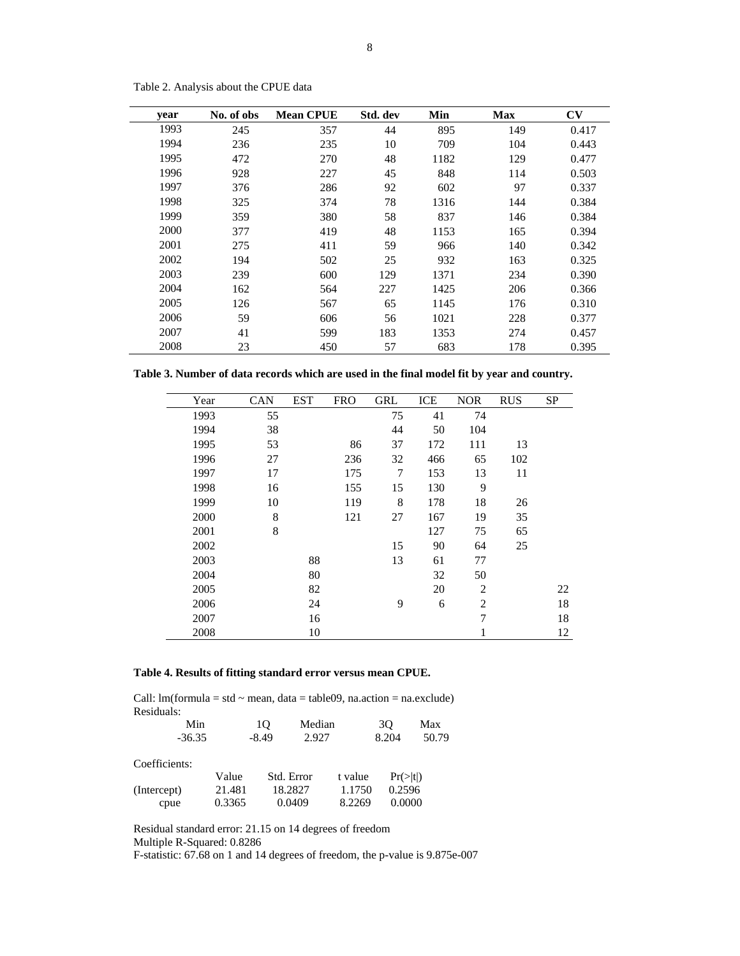| year | No. of obs | <b>Mean CPUE</b> | Std. dev | Min  | <b>Max</b> | $\mathbf{C}\mathbf{V}$ |
|------|------------|------------------|----------|------|------------|------------------------|
| 1993 | 245        | 357              | 44       | 895  | 149        | 0.417                  |
| 1994 | 236        | 235              | 10       | 709  | 104        | 0.443                  |
| 1995 | 472        | 270              | 48       | 1182 | 129        | 0.477                  |
| 1996 | 928        | 227              | 45       | 848  | 114        | 0.503                  |
| 1997 | 376        | 286              | 92       | 602  | 97         | 0.337                  |
| 1998 | 325        | 374              | 78       | 1316 | 144        | 0.384                  |
| 1999 | 359        | 380              | 58       | 837  | 146        | 0.384                  |
| 2000 | 377        | 419              | 48       | 1153 | 165        | 0.394                  |
| 2001 | 275        | 411              | 59       | 966  | 140        | 0.342                  |
| 2002 | 194        | 502              | 25       | 932  | 163        | 0.325                  |
| 2003 | 239        | 600              | 129      | 1371 | 234        | 0.390                  |
| 2004 | 162        | 564              | 227      | 1425 | 206        | 0.366                  |
| 2005 | 126        | 567              | 65       | 1145 | 176        | 0.310                  |
| 2006 | 59         | 606              | 56       | 1021 | 228        | 0.377                  |
| 2007 | 41         | 599              | 183      | 1353 | 274        | 0.457                  |
| 2008 | 23         | 450              | 57       | 683  | 178        | 0.395                  |

Table 2. Analysis about the CPUE data

**Table 3. Number of data records which are used in the final model fit by year and country.** 

| Year | CAN | <b>EST</b> | <b>FRO</b> | <b>GRL</b> | ICE | <b>NOR</b>     | <b>RUS</b> | <b>SP</b> |
|------|-----|------------|------------|------------|-----|----------------|------------|-----------|
| 1993 | 55  |            |            | 75         | 41  | 74             |            |           |
| 1994 | 38  |            |            | 44         | 50  | 104            |            |           |
| 1995 | 53  |            | 86         | 37         | 172 | 111            | 13         |           |
| 1996 | 27  |            | 236        | 32         | 466 | 65             | 102        |           |
| 1997 | 17  |            | 175        | 7          | 153 | 13             | 11         |           |
| 1998 | 16  |            | 155        | 15         | 130 | 9              |            |           |
| 1999 | 10  |            | 119        | 8          | 178 | 18             | 26         |           |
| 2000 | 8   |            | 121        | 27         | 167 | 19             | 35         |           |
| 2001 | 8   |            |            |            | 127 | 75             | 65         |           |
| 2002 |     |            |            | 15         | 90  | 64             | 25         |           |
| 2003 |     | 88         |            | 13         | 61  | 77             |            |           |
| 2004 |     | 80         |            |            | 32  | 50             |            |           |
| 2005 |     | 82         |            |            | 20  | $\overline{2}$ |            | 22        |
| 2006 |     | 24         |            | 9          | 6   | $\overline{2}$ |            | 18        |
| 2007 |     | 16         |            |            |     | 7              |            | 18        |
| 2008 |     | 10         |            |            |     | 1              |            | 12        |

### **Table 4. Results of fitting standard error versus mean CPUE.**

Call:  $lm(formula = std \sim mean, data = table09, na.action = na. exclude)$ Residuals:

| Min           |        | 10      | Median     |         | 30                   | Max   |
|---------------|--------|---------|------------|---------|----------------------|-------|
| $-36.35$      |        | $-8.49$ | 2.927      |         | 8.204                | 50.79 |
| Coefficients: |        |         |            |         |                      |       |
|               | Value  |         | Std. Error | t value | $Pr(>\vert t \vert)$ |       |
| (Intercept)   | 21.481 |         | 18.2827    | 1.1750  | 0.2596               |       |
| cpue          | 0.3365 |         | 0.0409     | 8.2269  | 0.0000               |       |

Residual standard error: 21.15 on 14 degrees of freedom Multiple R-Squared: 0.8286

F-statistic: 67.68 on 1 and 14 degrees of freedom, the p-value is 9.875e-007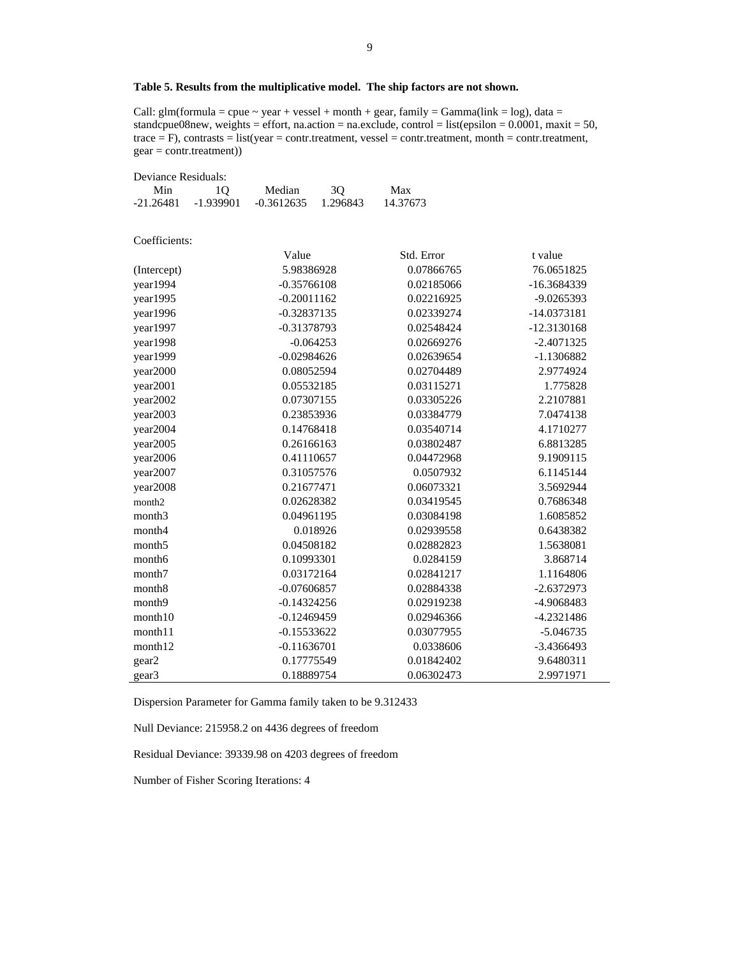### **Table 5. Results from the multiplicative model. The ship factors are not shown.**

Call:  $glm(formula = cque \sim year + vessel + month + gear, family = Gamma(link = log)$ , data = standcpue08new, weights = effort, na.action = na.exclude, control = list(epsilon = 0.0001, maxit = 50, trace = F), contrasts = list(year = contr.treatment, vessel = contr.treatment, month = contr.treatment, gear = contr.treatment))

| Deviance Residuals: |             |               |          |            |               |
|---------------------|-------------|---------------|----------|------------|---------------|
| Min                 | 10          | Median        | 3Q       | Max        |               |
| $-21.26481$         | $-1.939901$ | $-0.3612635$  | 1.296843 | 14.37673   |               |
|                     |             |               |          |            |               |
| Coefficients:       |             |               |          |            |               |
|                     |             | Value         |          | Std. Error | t value       |
| (Intercept)         |             | 5.98386928    |          | 0.07866765 | 76.0651825    |
| year1994            |             | $-0.35766108$ |          | 0.02185066 | -16.3684339   |
| year1995            |             | $-0.20011162$ |          | 0.02216925 | -9.0265393    |
| year1996            |             | $-0.32837135$ |          | 0.02339274 | -14.0373181   |
| year1997            |             | $-0.31378793$ |          | 0.02548424 | $-12.3130168$ |
| year1998            |             | $-0.064253$   |          | 0.02669276 | $-2.4071325$  |
| year1999            |             | $-0.02984626$ |          | 0.02639654 | $-1.1306882$  |
| year2000            |             | 0.08052594    |          | 0.02704489 | 2.9774924     |
| year2001            |             | 0.05532185    |          | 0.03115271 | 1.775828      |
| year2002            |             | 0.07307155    |          | 0.03305226 | 2.2107881     |
| year2003            |             | 0.23853936    |          | 0.03384779 | 7.0474138     |
| year2004            |             | 0.14768418    |          | 0.03540714 | 4.1710277     |
| year2005            |             | 0.26166163    |          | 0.03802487 | 6.8813285     |
| year2006            |             | 0.41110657    |          | 0.04472968 | 9.1909115     |
| year2007            |             | 0.31057576    |          | 0.0507932  | 6.1145144     |
| year2008            |             | 0.21677471    |          | 0.06073321 | 3.5692944     |
| month2              |             | 0.02628382    |          | 0.03419545 | 0.7686348     |
| month <sub>3</sub>  |             | 0.04961195    |          | 0.03084198 | 1.6085852     |
| month4              |             | 0.018926      |          | 0.02939558 | 0.6438382     |
| month <sub>5</sub>  |             | 0.04508182    |          | 0.02882823 | 1.5638081     |
| month6              |             | 0.10993301    |          | 0.0284159  | 3.868714      |
| month7              |             | 0.03172164    |          | 0.02841217 | 1.1164806     |
| month <sub>8</sub>  |             | $-0.07606857$ |          | 0.02884338 | $-2.6372973$  |
| month9              |             | $-0.14324256$ |          | 0.02919238 | -4.9068483    |
| month10             |             | $-0.12469459$ |          | 0.02946366 | $-4.2321486$  |
| month11             |             | $-0.15533622$ |          | 0.03077955 | $-5.046735$   |
| month12             |             | $-0.11636701$ |          | 0.0338606  | -3.4366493    |
| gear2               |             | 0.17775549    |          | 0.01842402 | 9.6480311     |
| gear <sub>3</sub>   |             | 0.18889754    |          | 0.06302473 | 2.9971971     |

Dispersion Parameter for Gamma family taken to be 9.312433

Null Deviance: 215958.2 on 4436 degrees of freedom

Residual Deviance: 39339.98 on 4203 degrees of freedom

Number of Fisher Scoring Iterations: 4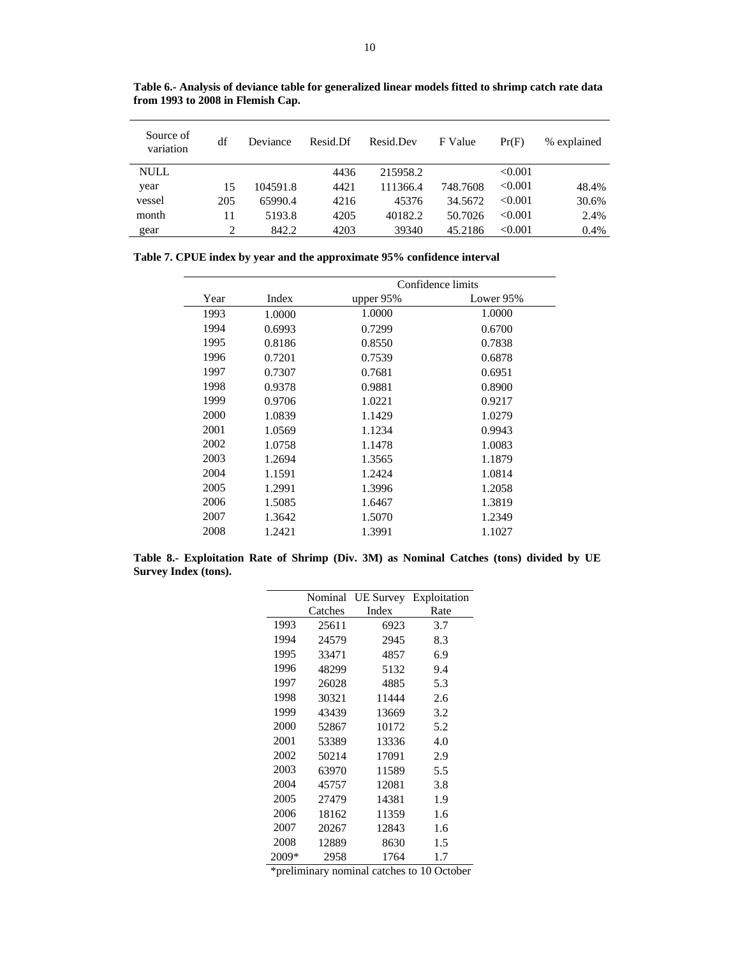| Source of<br>variation | df  | Deviance | Resid.Df | Resid.Dev | F Value  | Pr(F)   | % explained |
|------------------------|-----|----------|----------|-----------|----------|---------|-------------|
| <b>NULL</b>            |     |          | 4436     | 215958.2  |          | < 0.001 |             |
| year                   | 15  | 104591.8 | 4421     | 111366.4  | 748.7608 | < 0.001 | 48.4%       |
| vessel                 | 205 | 65990.4  | 4216     | 45376     | 34.5672  | < 0.001 | 30.6%       |
| month                  | 11  | 5193.8   | 4205     | 40182.2   | 50.7026  | < 0.001 | 2.4%        |
| gear                   | 2   | 842.2    | 4203     | 39340     | 45.2186  | < 0.001 | 0.4%        |

**Table 6.- Analysis of deviance table for generalized linear models fitted to shrimp catch rate data from 1993 to 2008 in Flemish Cap.** 

**Table 7. CPUE index by year and the approximate 95% confidence interval** 

|      |        |             | Confidence limits |
|------|--------|-------------|-------------------|
| Year | Index  | upper $95%$ | Lower 95%         |
| 1993 | 1.0000 | 1.0000      | 1.0000            |
| 1994 | 0.6993 | 0.7299      | 0.6700            |
| 1995 | 0.8186 | 0.8550      | 0.7838            |
| 1996 | 0.7201 | 0.7539      | 0.6878            |
| 1997 | 0.7307 | 0.7681      | 0.6951            |
| 1998 | 0.9378 | 0.9881      | 0.8900            |
| 1999 | 0.9706 | 1.0221      | 0.9217            |
| 2000 | 1.0839 | 1.1429      | 1.0279            |
| 2001 | 1.0569 | 1.1234      | 0.9943            |
| 2002 | 1.0758 | 1.1478      | 1.0083            |
| 2003 | 1.2694 | 1.3565      | 1.1879            |
| 2004 | 1.1591 | 1.2424      | 1.0814            |
| 2005 | 1.2991 | 1.3996      | 1.2058            |
| 2006 | 1.5085 | 1.6467      | 1.3819            |
| 2007 | 1.3642 | 1.5070      | 1.2349            |
| 2008 | 1.2421 | 1.3991      | 1.1027            |

**Table 8.- Exploitation Rate of Shrimp (Div. 3M) as Nominal Catches (tons) divided by UE Survey Index (tons).** 

|       | Nominal | <b>UE</b> Survey | Exploitation |
|-------|---------|------------------|--------------|
|       | Catches | Index            | Rate         |
| 1993  | 25611   | 6923             | 3.7          |
| 1994  | 24579   | 2945             | 8.3          |
| 1995  | 33471   | 4857             | 6.9          |
| 1996  | 48299   | 5132             | 9.4          |
| 1997  | 26028   | 4885             | 5.3          |
| 1998  | 30321   | 11444            | 2.6          |
| 1999  | 43439   | 13669            | 3.2          |
| 2000  | 52867   | 10172            | 5.2          |
| 2001  | 53389   | 13336            | 4.0          |
| 2002  | 50214   | 17091            | 2.9          |
| 2003  | 63970   | 11589            | 5.5          |
| 2004  | 45757   | 12081            | 3.8          |
| 2005  | 27479   | 14381            | 1.9          |
| 2006  | 18162   | 11359            | 1.6          |
| 2007  | 20267   | 12843            | 1.6          |
| 2008  | 12889   | 8630             | 1.5          |
| 2009* | 2958    | 1764             | 1.7          |

\*preliminary nominal catches to 10 October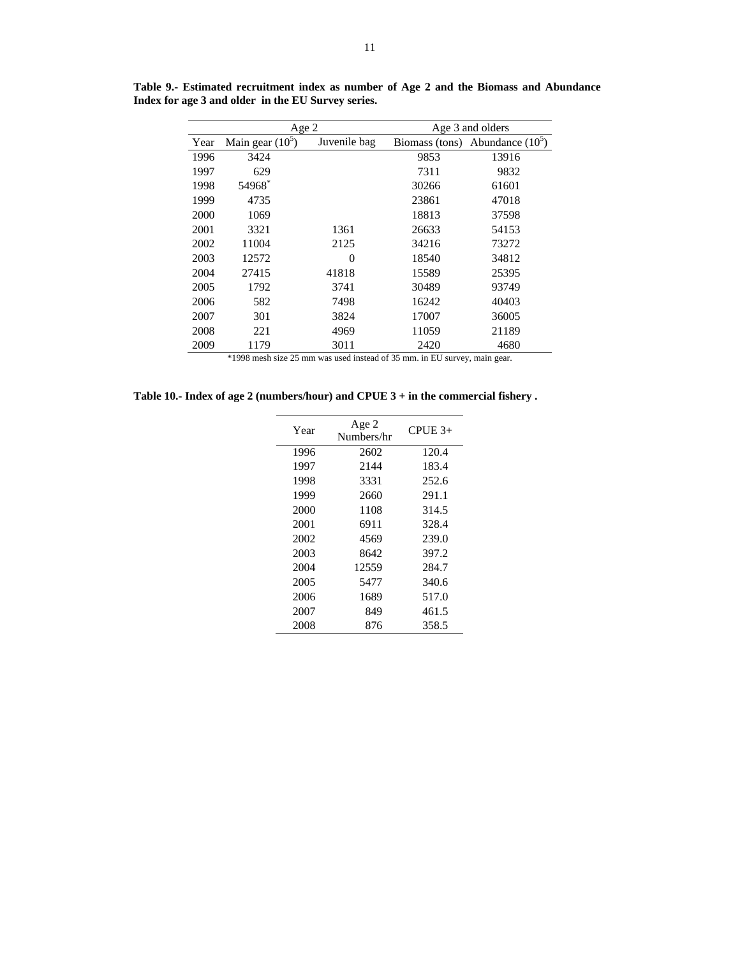|      | Age 2              |              |                | Age 3 and olders   |
|------|--------------------|--------------|----------------|--------------------|
| Year | Main gear $(10^5)$ | Juvenile bag | Biomass (tons) | Abundance $(10^5)$ |
| 1996 | 3424               |              | 9853           | 13916              |
| 1997 | 629                |              | 7311           | 9832               |
| 1998 | 54968*             |              | 30266          | 61601              |
| 1999 | 4735               |              | 23861          | 47018              |
| 2000 | 1069               |              | 18813          | 37598              |
| 2001 | 3321               | 1361         | 26633          | 54153              |
| 2002 | 11004              | 2125         | 34216          | 73272              |
| 2003 | 12572              | $\theta$     | 18540          | 34812              |
| 2004 | 27415              | 41818        | 15589          | 25395              |
| 2005 | 1792               | 3741         | 30489          | 93749              |
| 2006 | 582                | 7498         | 16242          | 40403              |
| 2007 | 301                | 3824         | 17007          | 36005              |
| 2008 | 221                | 4969         | 11059          | 21189              |
| 2009 | 1179               | 3011         | 2420           | 4680               |

**Table 9.- Estimated recruitment index as number of Age 2 and the Biomass and Abundance Index for age 3 and older in the EU Survey series.** 

\*1998 mesh size 25 mm was used instead of 35 mm. in EU survey, main gear.

| Table 10.- Index of age 2 (numbers/hour) and CPUE $3 +$ in the commercial fishery. |
|------------------------------------------------------------------------------------|
|                                                                                    |

| Year | Age 2<br>Numbers/hr | $CPUE$ 3+ |
|------|---------------------|-----------|
| 1996 | 2602                | 120.4     |
| 1997 | 2144                | 183.4     |
| 1998 | 3331                | 252.6     |
| 1999 | 2660                | 291.1     |
| 2000 | 1108                | 314.5     |
| 2001 | 6911                | 328.4     |
| 2002 | 4569                | 239.0     |
| 2003 | 8642                | 397.2     |
| 2004 | 12559               | 284.7     |
| 2005 | 5477                | 340.6     |
| 2006 | 1689                | 517.0     |
| 2007 | 849                 | 461.5     |
| 2008 | 876                 | 358.5     |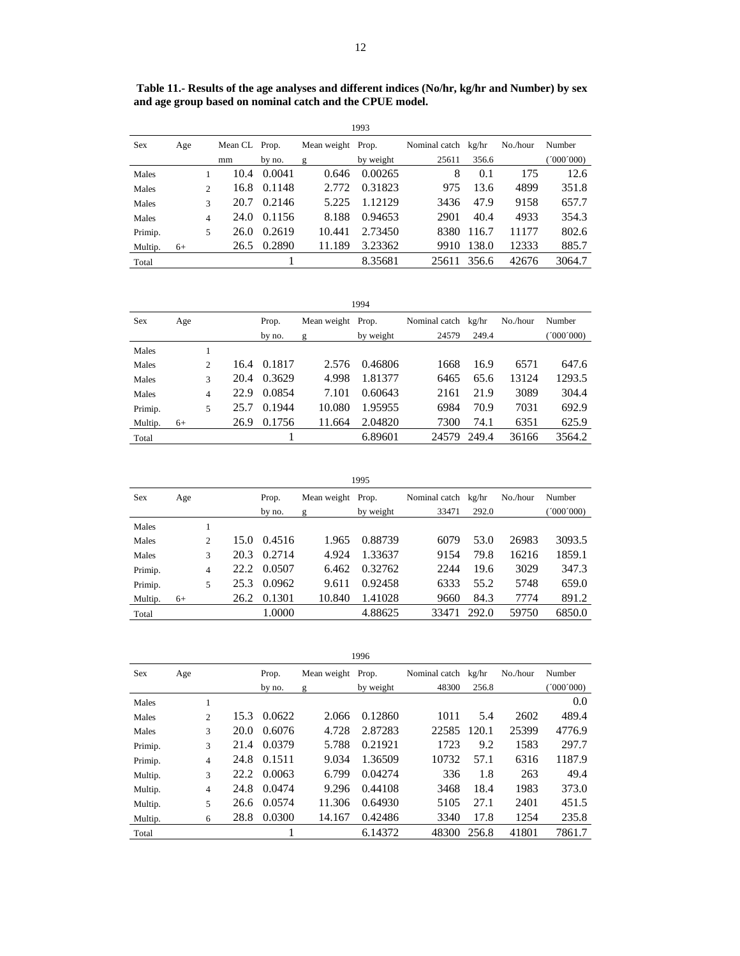| secx    | Age  |                | Mean CL Prop. |        | Mean weight Prop. |           | NOMINAL CALCH Kg/HF |       | NO./HOUT | <b>Number</b> |
|---------|------|----------------|---------------|--------|-------------------|-----------|---------------------|-------|----------|---------------|
|         |      |                | mm            | by no. | g                 | by weight | 25611               | 356.6 |          | 000'000       |
| Males   |      |                | 10.4          | 0.0041 | 0.646             | 0.00265   | 8                   | 0.1   | 175      | 12.6          |
| Males   |      | $\mathfrak{D}$ | 16.8          | 0.1148 | 2.772             | 0.31823   | 975                 | 13.6  | 4899     | 351.8         |
| Males   |      | 3              | 20.7          | 0.2146 | 5.225             | 1.12129   | 3436                | 47.9  | 9158     | 657.7         |
| Males   |      | 4              | 24.0          | 0.1156 | 8.188             | 0.94653   | 2901                | 40.4  | 4933     | 354.3         |
| Primip. |      | 5              | 26.0          | 0.2619 | 10.441            | 2.73450   | 8380                | 116.7 | 11177    | 802.6         |
| Multip. | $6+$ |                | 26.5          | 0.2890 | 11.189            | 3.23362   | 9910                | 138.0 | 12333    | 885.7         |
| Total   |      |                |               |        |                   | 8.35681   | 25611 356.6         |       | 42676    | 3064.7        |
|         |      |                |               |        |                   |           |                     |       |          |               |

| 1994       |      |   |      |        |                   |           |                     |       |          |           |
|------------|------|---|------|--------|-------------------|-----------|---------------------|-------|----------|-----------|
| <b>Sex</b> | Age  |   |      | Prop.  | Mean weight Prop. |           | Nominal catch kg/hr |       | No./hour | Number    |
|            |      |   |      | by no. | g                 | by weight | 24579               | 249.4 |          | (1000000) |
| Males      |      |   |      |        |                   |           |                     |       |          |           |
| Males      |      | 2 | 16.4 | 0.1817 | 2.576             | 0.46806   | 1668                | 16.9  | 6571     | 647.6     |
| Males      |      | 3 | 20.4 | 0.3629 | 4.998             | 1.81377   | 6465                | 65.6  | 13124    | 1293.5    |
| Males      |      | 4 | 22.9 | 0.0854 | 7.101             | 0.60643   | 2161                | 21.9  | 3089     | 304.4     |
| Primip.    |      | 5 | 25.7 | 0.1944 | 10.080            | 1.95955   | 6984                | 70.9  | 7031     | 692.9     |
| Multip.    | $6+$ |   | 26.9 | 0.1756 | 11.664            | 2.04820   | 7300                | 74.1  | 6351     | 625.9     |
| Total      |      |   |      |        |                   | 6.89601   | 24579               | 249.4 | 36166    | 3564.2    |

| 1995       |      |                |      |        |                   |           |                     |       |          |           |
|------------|------|----------------|------|--------|-------------------|-----------|---------------------|-------|----------|-----------|
| <b>Sex</b> | Age  |                |      | Prop.  | Mean weight Prop. |           | Nominal catch kg/hr |       | No./hour | Number    |
|            |      |                |      | by no. | g                 | by weight | 33471               | 292.0 |          | (000'000) |
| Males      |      |                |      |        |                   |           |                     |       |          |           |
| Males      |      | $\mathfrak{2}$ | 15.0 | 0.4516 | 1.965             | 0.88739   | 6079                | 53.0  | 26983    | 3093.5    |
| Males      |      | 3              | 20.3 | 0.2714 | 4.924             | 1.33637   | 9154                | 79.8  | 16216    | 1859.1    |
| Primip.    |      | 4              | 22.2 | 0.0507 | 6.462             | 0.32762   | 2244                | 19.6  | 3029     | 347.3     |
| Primip.    |      | 5              | 25.3 | 0.0962 | 9.611             | 0.92458   | 6333                | 55.2  | 5748     | 659.0     |
| Multip.    | $6+$ |                | 26.2 | 0.1301 | 10.840            | 1.41028   | 9660                | 84.3  | 7774     | 891.2     |
| Total      |      |                |      | 1.0000 |                   | 4.88625   | 33471               | 292.0 | 59750    | 6850.0    |

| 1996    |     |                |      |        |                   |           |                     |       |          |           |  |
|---------|-----|----------------|------|--------|-------------------|-----------|---------------------|-------|----------|-----------|--|
| Sex     | Age |                |      | Prop.  | Mean weight Prop. |           | Nominal catch kg/hr |       | No./hour | Number    |  |
|         |     |                |      | by no. | g                 | by weight | 48300               | 256.8 |          | (000'000) |  |
| Males   |     | 1              |      |        |                   |           |                     |       |          | 0.0       |  |
| Males   |     | $\overline{2}$ | 15.3 | 0.0622 | 2.066             | 0.12860   | 1011                | 5.4   | 2602     | 489.4     |  |
| Males   |     | 3              | 20.0 | 0.6076 | 4.728             | 2.87283   | 22585               | 120.1 | 25399    | 4776.9    |  |
| Primip. |     | 3              | 21.4 | 0.0379 | 5.788             | 0.21921   | 1723                | 9.2   | 1583     | 297.7     |  |
| Primip. |     | 4              | 24.8 | 0.1511 | 9.034             | 1.36509   | 10732               | 57.1  | 6316     | 1187.9    |  |
| Multip. |     | 3              | 22.2 | 0.0063 | 6.799             | 0.04274   | 336                 | 1.8   | 263      | 49.4      |  |
| Multip. |     | 4              | 24.8 | 0.0474 | 9.296             | 0.44108   | 3468                | 18.4  | 1983     | 373.0     |  |
| Multip. |     | 5              | 26.6 | 0.0574 | 11.306            | 0.64930   | 5105                | 27.1  | 2401     | 451.5     |  |
| Multip. |     | 6              | 28.8 | 0.0300 | 14.167            | 0.42486   | 3340                | 17.8  | 1254     | 235.8     |  |
| Total   |     |                |      |        |                   | 6.14372   | 48300               | 256.8 | 41801    | 7861.7    |  |

12

 **Table 11.- Results of the age analyses and different indices (No/hr, kg/hr and Number) by sex**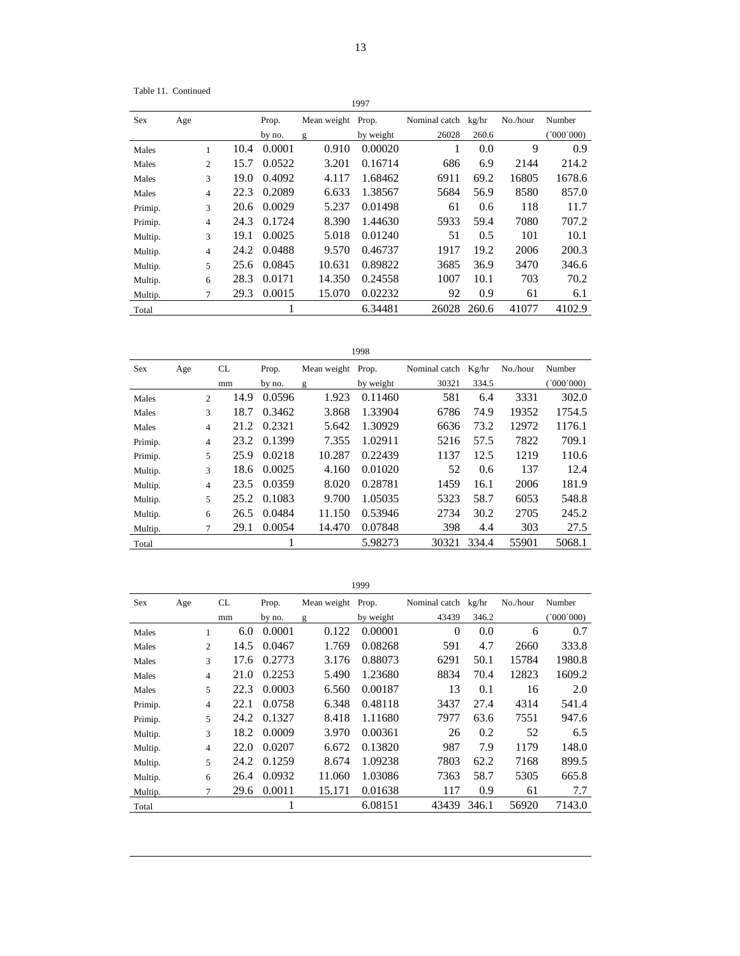Table 11. Continued

13

| Sex     | Age |                |      | Prop.  | Mean weight Prop. |           | Nominal catch kg/hr |       | No./hour | Number    |
|---------|-----|----------------|------|--------|-------------------|-----------|---------------------|-------|----------|-----------|
|         |     |                |      | by no. | g                 | by weight | 26028               | 260.6 |          | (1000000) |
| Males   |     | 1              | 10.4 | 0.0001 | 0.910             | 0.00020   |                     | 0.0   | 9        | 0.9       |
| Males   |     | $\overline{2}$ | 15.7 | 0.0522 | 3.201             | 0.16714   | 686                 | 6.9   | 2144     | 214.2     |
| Males   |     | 3              | 19.0 | 0.4092 | 4.117             | 1.68462   | 6911                | 69.2  | 16805    | 1678.6    |
| Males   |     | 4              | 22.3 | 0.2089 | 6.633             | 1.38567   | 5684                | 56.9  | 8580     | 857.0     |
| Primip. |     | 3              | 20.6 | 0.0029 | 5.237             | 0.01498   | 61                  | 0.6   | 118      | 11.7      |
| Primip. |     | $\overline{4}$ | 24.3 | 0.1724 | 8.390             | 1.44630   | 5933                | 59.4  | 7080     | 707.2     |
| Multip. |     | 3              | 19.1 | 0.0025 | 5.018             | 0.01240   | 51                  | 0.5   | 101      | 10.1      |
| Multip. |     | 4              | 24.2 | 0.0488 | 9.570             | 0.46737   | 1917                | 19.2  | 2006     | 200.3     |
| Multip. |     | 5              | 25.6 | 0.0845 | 10.631            | 0.89822   | 3685                | 36.9  | 3470     | 346.6     |
| Multip. |     | 6              | 28.3 | 0.0171 | 14.350            | 0.24558   | 1007                | 10.1  | 703      | 70.2      |
| Multip. |     | 7              | 29.3 | 0.0015 | 15.070            | 0.02232   | 92                  | 0.9   | 61       | 6.1       |
| Total   |     |                |      |        |                   | 6.34481   | 26028               | 260.6 | 41077    | 4102.9    |

| Sex     | Age |                | CL   | Prop.  | Mean weight Prop. |           | Nominal catch | Kg/hr | No./hour | Number    |
|---------|-----|----------------|------|--------|-------------------|-----------|---------------|-------|----------|-----------|
|         |     |                | mm   | by no. | g                 | by weight | 30321         | 334.5 |          | (000'000) |
| Males   |     | $\mathfrak{D}$ | 14.9 | 0.0596 | 1.923             | 0.11460   | 581           | 6.4   | 3331     | 302.0     |
| Males   |     | 3              | 18.7 | 0.3462 | 3.868             | 1.33904   | 6786          | 74.9  | 19352    | 1754.5    |
| Males   |     | $\overline{4}$ | 21.2 | 0.2321 | 5.642             | 1.30929   | 6636          | 73.2  | 12972    | 1176.1    |
| Primip. |     | $\overline{4}$ | 23.2 | 0.1399 | 7.355             | 1.02911   | 5216          | 57.5  | 7822     | 709.1     |
| Primip. |     | 5              | 25.9 | 0.0218 | 10.287            | 0.22439   | 1137          | 12.5  | 1219     | 110.6     |
| Multip. |     | 3              | 18.6 | 0.0025 | 4.160             | 0.01020   | 52            | 0.6   | 137      | 12.4      |
| Multip. |     | 4              | 23.5 | 0.0359 | 8.020             | 0.28781   | 1459          | 16.1  | 2006     | 181.9     |
| Multip. |     | 5              | 25.2 | 0.1083 | 9.700             | 1.05035   | 5323          | 58.7  | 6053     | 548.8     |
| Multip. |     | 6              | 26.5 | 0.0484 | 11.150            | 0.53946   | 2734          | 30.2  | 2705     | 245.2     |
| Multip. |     | 7              | 29.1 | 0.0054 | 14.470            | 0.07848   | 398           | 4.4   | 303      | 27.5      |
| Total   |     |                |      |        |                   | 5.98273   | 30321         | 334.4 | 55901    | 5068.1    |

|         |     |                |      |        |             | 1999      |               |       |          |         |
|---------|-----|----------------|------|--------|-------------|-----------|---------------|-------|----------|---------|
| Sex     | Age |                | CL   | Prop.  | Mean weight | Prop.     | Nominal catch | kg/hr | No./hour | Number  |
|         |     |                | mm   | by no. | g           | by weight | 43439         | 346.2 |          | 000'000 |
| Males   |     | 1              | 6.0  | 0.0001 | 0.122       | 0.00001   | $\Omega$      | 0.0   | 6        | 0.7     |
| Males   |     | 2              | 14.5 | 0.0467 | 1.769       | 0.08268   | 591           | 4.7   | 2660     | 333.8   |
| Males   |     | 3              | 17.6 | 0.2773 | 3.176       | 0.88073   | 6291          | 50.1  | 15784    | 1980.8  |
| Males   |     | $\overline{4}$ | 21.0 | 0.2253 | 5.490       | 1.23680   | 8834          | 70.4  | 12823    | 1609.2  |
| Males   |     | 5              | 22.3 | 0.0003 | 6.560       | 0.00187   | 13            | 0.1   | 16       | 2.0     |
| Primip. |     | $\overline{4}$ | 22.1 | 0.0758 | 6.348       | 0.48118   | 3437          | 27.4  | 4314     | 541.4   |
| Primip. |     | 5              | 24.2 | 0.1327 | 8.418       | 1.11680   | 7977          | 63.6  | 7551     | 947.6   |
| Multip. |     | 3              | 18.2 | 0.0009 | 3.970       | 0.00361   | 26            | 0.2   | 52       | 6.5     |
| Multip. |     | $\overline{4}$ | 22.0 | 0.0207 | 6.672       | 0.13820   | 987           | 7.9   | 1179     | 148.0   |
| Multip. |     | 5              | 24.2 | 0.1259 | 8.674       | 1.09238   | 7803          | 62.2  | 7168     | 899.5   |
| Multip. |     | 6              | 26.4 | 0.0932 | 11.060      | 1.03086   | 7363          | 58.7  | 5305     | 665.8   |
| Multip. |     | 7              | 29.6 | 0.0011 | 15.171      | 0.01638   | 117           | 0.9   | 61       | 7.7     |
| Total   |     |                |      |        |             | 6.08151   | 43439         | 346.1 | 56920    | 7143.0  |

1999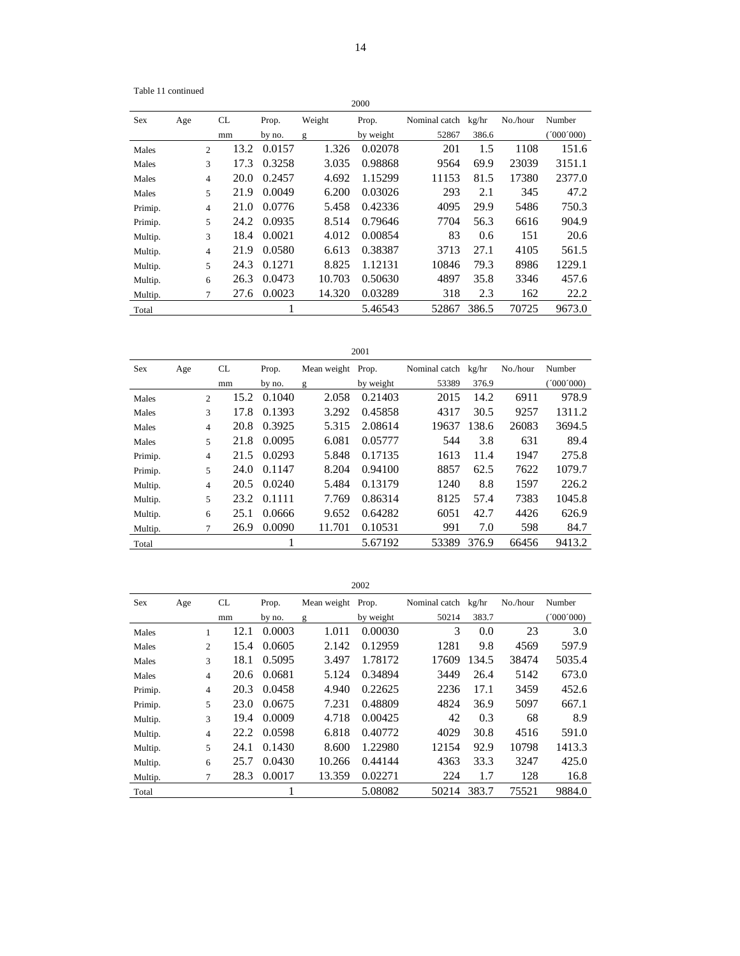| Table 11 continued |
|--------------------|
|                    |

| 2000 |  |
|------|--|

| Sex     | Age |                | CL   | Prop.  | Weight | Prop.     | Nominal catch | kg/hr | No./hour | Number  |
|---------|-----|----------------|------|--------|--------|-----------|---------------|-------|----------|---------|
|         |     |                | mm   | by no. | g      | by weight | 52867         | 386.6 |          | 000'000 |
| Males   |     | 2              | 13.2 | 0.0157 | 1.326  | 0.02078   | 201           | 1.5   | 1108     | 151.6   |
| Males   |     | 3              | 17.3 | 0.3258 | 3.035  | 0.98868   | 9564          | 69.9  | 23039    | 3151.1  |
| Males   |     | $\overline{4}$ | 20.0 | 0.2457 | 4.692  | 1.15299   | 11153         | 81.5  | 17380    | 2377.0  |
| Males   |     | 5              | 21.9 | 0.0049 | 6.200  | 0.03026   | 293           | 2.1   | 345      | 47.2    |
| Primip. |     | 4              | 21.0 | 0.0776 | 5.458  | 0.42336   | 4095          | 29.9  | 5486     | 750.3   |
| Primip. |     | 5              | 24.2 | 0.0935 | 8.514  | 0.79646   | 7704          | 56.3  | 6616     | 904.9   |
| Multip. |     | 3              | 18.4 | 0.0021 | 4.012  | 0.00854   | 83            | 0.6   | 151      | 20.6    |
| Multip. |     | $\overline{4}$ | 21.9 | 0.0580 | 6.613  | 0.38387   | 3713          | 27.1  | 4105     | 561.5   |
| Multip. |     | 5              | 24.3 | 0.1271 | 8.825  | 1.12131   | 10846         | 79.3  | 8986     | 1229.1  |
| Multip. |     | 6              | 26.3 | 0.0473 | 10.703 | 0.50630   | 4897          | 35.8  | 3346     | 457.6   |
| Multip. |     | 7              | 27.6 | 0.0023 | 14.320 | 0.03289   | 318           | 2.3   | 162      | 22.2    |
| Total   |     |                |      |        |        | 5.46543   | 52867         | 386.5 | 70725    | 9673.0  |

| <b>Sex</b> | Age |                | CL   | Prop.  | Mean weight Prop. |           | Nominal catch kg/hr |       | No./hour | Number  |
|------------|-----|----------------|------|--------|-------------------|-----------|---------------------|-------|----------|---------|
|            |     |                | mm   | by no. | g                 | by weight | 53389               | 376.9 |          | 000'000 |
| Males      |     | $\overline{2}$ | 15.2 | 0.1040 | 2.058             | 0.21403   | 2015                | 14.2  | 6911     | 978.9   |
| Males      |     | 3              | 17.8 | 0.1393 | 3.292             | 0.45858   | 4317                | 30.5  | 9257     | 1311.2  |
| Males      |     | $\overline{4}$ | 20.8 | 0.3925 | 5.315             | 2.08614   | 19637               | 138.6 | 26083    | 3694.5  |
| Males      |     | 5              | 21.8 | 0.0095 | 6.081             | 0.05777   | 544                 | 3.8   | 631      | 89.4    |
| Primip.    |     | $\overline{4}$ | 21.5 | 0.0293 | 5.848             | 0.17135   | 1613                | 11.4  | 1947     | 275.8   |
| Primip.    |     | 5              | 24.0 | 0.1147 | 8.204             | 0.94100   | 8857                | 62.5  | 7622     | 1079.7  |
| Multip.    |     | 4              | 20.5 | 0.0240 | 5.484             | 0.13179   | 1240                | 8.8   | 1597     | 226.2   |
| Multip.    |     | 5              | 23.2 | 0.1111 | 7.769             | 0.86314   | 8125                | 57.4  | 7383     | 1045.8  |
| Multip.    |     | 6              | 25.1 | 0.0666 | 9.652             | 0.64282   | 6051                | 42.7  | 4426     | 626.9   |
| Multip.    |     | $\tau$         | 26.9 | 0.0090 | 11.701            | 0.10531   | 991                 | 7.0   | 598      | 84.7    |
| Total      |     |                |      |        |                   | 5.67192   | 53389               | 376.9 | 66456    | 9413.2  |

| <b>Sex</b> | Age |                | CL   | Prop.  | Mean weight Prop. |           | Nominal catch kg/hr |       | No./hour | Number   |
|------------|-----|----------------|------|--------|-------------------|-----------|---------------------|-------|----------|----------|
|            |     |                | mm   | by no. | g                 | by weight | 50214               | 383.7 |          | 000(000) |
| Males      |     | 1              | 12.1 | 0.0003 | 1.011             | 0.00030   | 3                   | 0.0   | 23       | 3.0      |
| Males      |     | 2              | 15.4 | 0.0605 | 2.142             | 0.12959   | 1281                | 9.8   | 4569     | 597.9    |
| Males      |     | 3              | 18.1 | 0.5095 | 3.497             | 1.78172   | 17609               | 134.5 | 38474    | 5035.4   |
| Males      |     | $\overline{4}$ | 20.6 | 0.0681 | 5.124             | 0.34894   | 3449                | 26.4  | 5142     | 673.0    |
| Primip.    |     | $\overline{4}$ | 20.3 | 0.0458 | 4.940             | 0.22625   | 2236                | 17.1  | 3459     | 452.6    |
| Primip.    |     | 5              | 23.0 | 0.0675 | 7.231             | 0.48809   | 4824                | 36.9  | 5097     | 667.1    |
| Multip.    |     | 3              | 19.4 | 0.0009 | 4.718             | 0.00425   | 42                  | 0.3   | 68       | 8.9      |
| Multip.    |     | $\overline{4}$ | 22.2 | 0.0598 | 6.818             | 0.40772   | 4029                | 30.8  | 4516     | 591.0    |
| Multip.    |     | 5              | 24.1 | 0.1430 | 8.600             | 1.22980   | 12154               | 92.9  | 10798    | 1413.3   |
| Multip.    |     | 6              | 25.7 | 0.0430 | 10.266            | 0.44144   | 4363                | 33.3  | 3247     | 425.0    |
| Multip.    |     | 7              | 28.3 | 0.0017 | 13.359            | 0.02271   | 224                 | 1.7   | 128      | 16.8     |
| Total      |     |                |      |        |                   | 5.08082   | 50214               | 383.7 | 75521    | 9884.0   |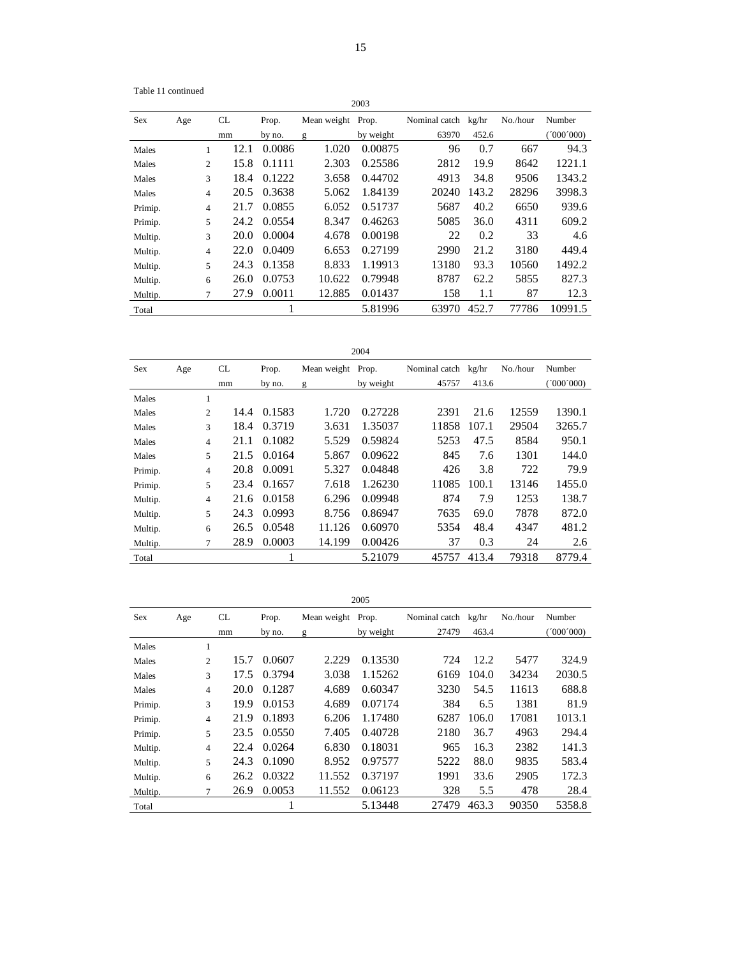Table 11 continued

|         |     |                |      |        |             | 2003      |               |       |          |           |
|---------|-----|----------------|------|--------|-------------|-----------|---------------|-------|----------|-----------|
| Sex     | Age |                | CL   | Prop.  | Mean weight | Prop.     | Nominal catch | kg/hr | No./hour | Number    |
|         |     |                | mm   | by no. | g           | by weight | 63970         | 452.6 |          | (000'000) |
| Males   |     | 1              | 12.1 | 0.0086 | 1.020       | 0.00875   | 96            | 0.7   | 667      | 94.3      |
| Males   |     | 2              | 15.8 | 0.1111 | 2.303       | 0.25586   | 2812          | 19.9  | 8642     | 1221.1    |
| Males   |     | 3              | 18.4 | 0.1222 | 3.658       | 0.44702   | 4913          | 34.8  | 9506     | 1343.2    |
| Males   |     | 4              | 20.5 | 0.3638 | 5.062       | 1.84139   | 20240         | 143.2 | 28296    | 3998.3    |
| Primip. |     | $\overline{4}$ | 21.7 | 0.0855 | 6.052       | 0.51737   | 5687          | 40.2  | 6650     | 939.6     |
| Primip. |     | 5              | 24.2 | 0.0554 | 8.347       | 0.46263   | 5085          | 36.0  | 4311     | 609.2     |
| Multip. |     | 3              | 20.0 | 0.0004 | 4.678       | 0.00198   | 22            | 0.2   | 33       | 4.6       |
| Multip. |     | $\overline{4}$ | 22.0 | 0.0409 | 6.653       | 0.27199   | 2990          | 21.2  | 3180     | 449.4     |
| Multip. |     | 5              | 24.3 | 0.1358 | 8.833       | 1.19913   | 13180         | 93.3  | 10560    | 1492.2    |
| Multip. |     | 6              | 26.0 | 0.0753 | 10.622      | 0.79948   | 8787          | 62.2  | 5855     | 827.3     |
| Multip. |     | 7              | 27.9 | 0.0011 | 12.885      | 0.01437   | 158           | 1.1   | 87       | 12.3      |
| Total   |     |                |      | T      |             | 5.81996   | 63970         | 452.7 | 77786    | 10991.5   |

| ×<br>۹ |
|--------|
|--------|

| <b>Sex</b> | Age |                | CL   | Prop.  | Mean weight Prop. |           | Nominal catch kg/hr |       | No./hour | Number    |
|------------|-----|----------------|------|--------|-------------------|-----------|---------------------|-------|----------|-----------|
|            |     |                | mm   | by no. | g                 | by weight | 45757               | 413.6 |          | (000'000) |
| Males      |     | 1              |      |        |                   |           |                     |       |          |           |
| Males      |     | $\overline{2}$ | 14.4 | 0.1583 | 1.720             | 0.27228   | 2391                | 21.6  | 12559    | 1390.1    |
| Males      |     | 3              | 18.4 | 0.3719 | 3.631             | 1.35037   | 11858               | 107.1 | 29504    | 3265.7    |
| Males      |     | $\overline{4}$ | 21.1 | 0.1082 | 5.529             | 0.59824   | 5253                | 47.5  | 8584     | 950.1     |
| Males      |     | 5              | 21.5 | 0.0164 | 5.867             | 0.09622   | 845                 | 7.6   | 1301     | 144.0     |
| Primip.    |     | $\overline{4}$ | 20.8 | 0.0091 | 5.327             | 0.04848   | 426                 | 3.8   | 722      | 79.9      |
| Primip.    |     | 5              | 23.4 | 0.1657 | 7.618             | 1.26230   | 11085               | 100.1 | 13146    | 1455.0    |
| Multip.    |     | 4              | 21.6 | 0.0158 | 6.296             | 0.09948   | 874                 | 7.9   | 1253     | 138.7     |
| Multip.    |     | 5              | 24.3 | 0.0993 | 8.756             | 0.86947   | 7635                | 69.0  | 7878     | 872.0     |
| Multip.    |     | 6              | 26.5 | 0.0548 | 11.126            | 0.60970   | 5354                | 48.4  | 4347     | 481.2     |
| Multip.    |     | 7              | 28.9 | 0.0003 | 14.199            | 0.00426   | 37                  | 0.3   | 24       | 2.6       |
| Total      |     |                |      |        |                   | 5.21079   | 45757               | 413.4 | 79318    | 8779.4    |

| ۰.<br>٧<br>۹ |  |
|--------------|--|
|              |  |

| Sex     | Age |                | CL   | Prop.  | Mean weight | Prop.     | Nominal catch kg/hr |       | No./hour | Number    |
|---------|-----|----------------|------|--------|-------------|-----------|---------------------|-------|----------|-----------|
|         |     |                | mm   | by no. | g           | by weight | 27479               | 463.4 |          | (000'000) |
| Males   |     | 1              |      |        |             |           |                     |       |          |           |
| Males   |     | $\overline{c}$ | 15.7 | 0.0607 | 2.229       | 0.13530   | 724                 | 12.2  | 5477     | 324.9     |
| Males   |     | 3              | 17.5 | 0.3794 | 3.038       | 1.15262   | 6169                | 104.0 | 34234    | 2030.5    |
| Males   |     | $\overline{4}$ | 20.0 | 0.1287 | 4.689       | 0.60347   | 3230                | 54.5  | 11613    | 688.8     |
| Primip. |     | 3              | 19.9 | 0.0153 | 4.689       | 0.07174   | 384                 | 6.5   | 1381     | 81.9      |
| Primip. |     | 4              | 21.9 | 0.1893 | 6.206       | 1.17480   | 6287                | 106.0 | 17081    | 1013.1    |
| Primip. |     | 5              | 23.5 | 0.0550 | 7.405       | 0.40728   | 2180                | 36.7  | 4963     | 294.4     |
| Multip. |     | $\overline{4}$ | 22.4 | 0.0264 | 6.830       | 0.18031   | 965                 | 16.3  | 2382     | 141.3     |
| Multip. |     | 5              | 24.3 | 0.1090 | 8.952       | 0.97577   | 5222                | 88.0  | 9835     | 583.4     |
| Multip. |     | 6              | 26.2 | 0.0322 | 11.552      | 0.37197   | 1991                | 33.6  | 2905     | 172.3     |
| Multip. |     | 7              | 26.9 | 0.0053 | 11.552      | 0.06123   | 328                 | 5.5   | 478      | 28.4      |
| Total   |     |                |      | 1      |             | 5.13448   | 27479               | 463.3 | 90350    | 5358.8    |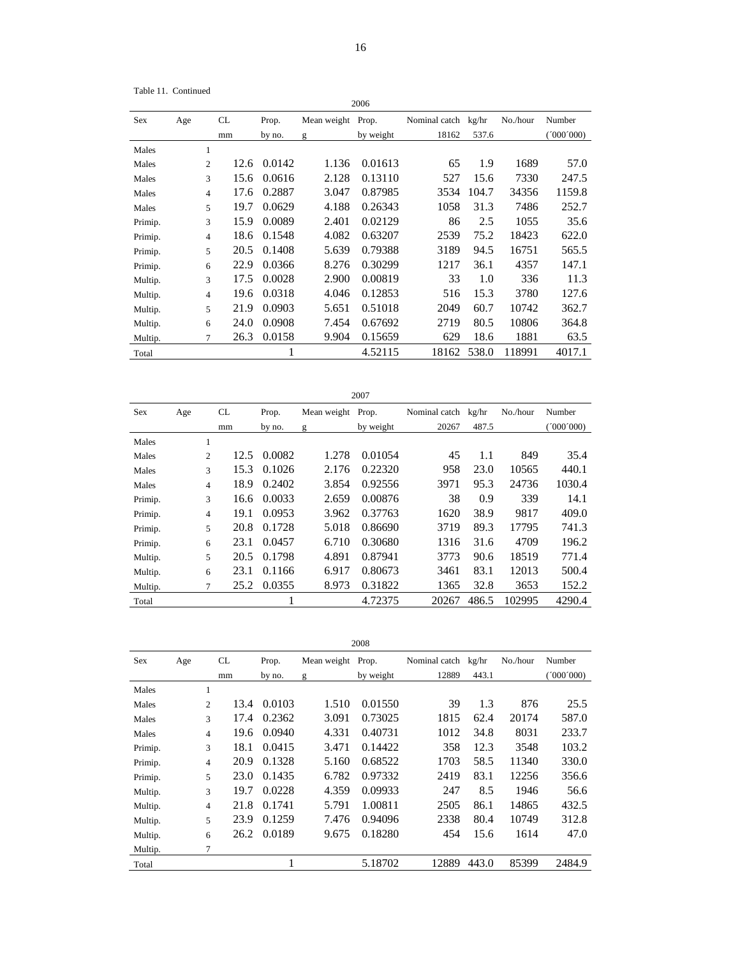Table 11. Continued

|            |     |                |      |        |             | 2006      |               |       |          |           |
|------------|-----|----------------|------|--------|-------------|-----------|---------------|-------|----------|-----------|
| <b>Sex</b> | Age |                | CL   | Prop.  | Mean weight | Prop.     | Nominal catch | kg/hr | No./hour | Number    |
|            |     |                | mm   | by no. | g           | by weight | 18162         | 537.6 |          | (000'000) |
| Males      |     | 1              |      |        |             |           |               |       |          |           |
| Males      |     | $\overline{c}$ | 12.6 | 0.0142 | 1.136       | 0.01613   | 65            | 1.9   | 1689     | 57.0      |
| Males      |     | 3              | 15.6 | 0.0616 | 2.128       | 0.13110   | 527           | 15.6  | 7330     | 247.5     |
| Males      |     | $\overline{4}$ | 17.6 | 0.2887 | 3.047       | 0.87985   | 3534          | 104.7 | 34356    | 1159.8    |
| Males      |     | 5              | 19.7 | 0.0629 | 4.188       | 0.26343   | 1058          | 31.3  | 7486     | 252.7     |
| Primip.    |     | 3              | 15.9 | 0.0089 | 2.401       | 0.02129   | 86            | 2.5   | 1055     | 35.6      |
| Primip.    |     | 4              | 18.6 | 0.1548 | 4.082       | 0.63207   | 2539          | 75.2  | 18423    | 622.0     |
| Primip.    |     | 5              | 20.5 | 0.1408 | 5.639       | 0.79388   | 3189          | 94.5  | 16751    | 565.5     |
| Primip.    |     | 6              | 22.9 | 0.0366 | 8.276       | 0.30299   | 1217          | 36.1  | 4357     | 147.1     |
| Multip.    |     | 3              | 17.5 | 0.0028 | 2.900       | 0.00819   | 33            | 1.0   | 336      | 11.3      |
| Multip.    |     | $\overline{4}$ | 19.6 | 0.0318 | 4.046       | 0.12853   | 516           | 15.3  | 3780     | 127.6     |
| Multip.    |     | 5              | 21.9 | 0.0903 | 5.651       | 0.51018   | 2049          | 60.7  | 10742    | 362.7     |
| Multip.    |     | 6              | 24.0 | 0.0908 | 7.454       | 0.67692   | 2719          | 80.5  | 10806    | 364.8     |
| Multip.    |     | 7              | 26.3 | 0.0158 | 9.904       | 0.15659   | 629           | 18.6  | 1881     | 63.5      |
| Total      |     |                |      | 1      |             | 4.52115   | 18162         | 538.0 | 118991   | 4017.1    |

|         | 2007 |                |      |        |                   |         |                     |       |          |           |  |  |  |
|---------|------|----------------|------|--------|-------------------|---------|---------------------|-------|----------|-----------|--|--|--|
| Sex     | Age  |                | CL   | Prop.  | Mean weight Prop. |         | Nominal catch kg/hr |       | No./hour | Number    |  |  |  |
|         |      |                | mm   | by no. | by weight<br>g    |         | 20267               | 487.5 |          | (000'000) |  |  |  |
| Males   |      | 1              |      |        |                   |         |                     |       |          |           |  |  |  |
| Males   |      | 2              | 12.5 | 0.0082 | 1.278             | 0.01054 | 45                  | 1.1   | 849      | 35.4      |  |  |  |
| Males   |      | 3              | 15.3 | 0.1026 | 2.176             | 0.22320 | 958                 | 23.0  | 10565    | 440.1     |  |  |  |
| Males   |      | $\overline{4}$ | 18.9 | 0.2402 | 3.854             | 0.92556 | 3971                | 95.3  | 24736    | 1030.4    |  |  |  |
| Primip. |      | 3              | 16.6 | 0.0033 | 2.659             | 0.00876 | 38                  | 0.9   | 339      | 14.1      |  |  |  |
| Primip. |      | $\overline{4}$ | 19.1 | 0.0953 | 3.962             | 0.37763 | 1620                | 38.9  | 9817     | 409.0     |  |  |  |
| Primip. |      | 5              | 20.8 | 0.1728 | 5.018             | 0.86690 | 3719                | 89.3  | 17795    | 741.3     |  |  |  |
| Primip. |      | 6              | 23.1 | 0.0457 | 6.710             | 0.30680 | 1316                | 31.6  | 4709     | 196.2     |  |  |  |
| Multip. |      | 5              | 20.5 | 0.1798 | 4.891             | 0.87941 | 3773                | 90.6  | 18519    | 771.4     |  |  |  |
| Multip. |      | 6              | 23.1 | 0.1166 | 6.917             | 0.80673 | 3461                | 83.1  | 12013    | 500.4     |  |  |  |
| Multip. |      | $\tau$         | 25.2 | 0.0355 | 8.973             | 0.31822 | 1365                | 32.8  | 3653     | 152.2     |  |  |  |
| Total   |      |                |      | ı      |                   | 4.72375 | 20267               | 486.5 | 102995   | 4290.4    |  |  |  |

|         |     |                |      |        |             | 2008      |               |       |          |         |
|---------|-----|----------------|------|--------|-------------|-----------|---------------|-------|----------|---------|
| Sex     | Age |                | CL   | Prop.  | Mean weight | Prop.     | Nominal catch | kg/hr | No./hour | Number  |
|         |     |                | mm   | by no. | g           | by weight | 12889         | 443.1 |          | 000'000 |
| Males   |     | 1              |      |        |             |           |               |       |          |         |
| Males   |     | $\overline{c}$ | 13.4 | 0.0103 | 1.510       | 0.01550   | 39            | 1.3   | 876      | 25.5    |
| Males   |     | 3              | 17.4 | 0.2362 | 3.091       | 0.73025   | 1815          | 62.4  | 20174    | 587.0   |
| Males   |     | 4              | 19.6 | 0.0940 | 4.331       | 0.40731   | 1012          | 34.8  | 8031     | 233.7   |
| Primip. |     | 3              | 18.1 | 0.0415 | 3.471       | 0.14422   | 358           | 12.3  | 3548     | 103.2   |
| Primip. |     | 4              | 20.9 | 0.1328 | 5.160       | 0.68522   | 1703          | 58.5  | 11340    | 330.0   |
| Primip. |     | 5              | 23.0 | 0.1435 | 6.782       | 0.97332   | 2419          | 83.1  | 12256    | 356.6   |
| Multip. |     | 3              | 19.7 | 0.0228 | 4.359       | 0.09933   | 247           | 8.5   | 1946     | 56.6    |
| Multip. |     | 4              | 21.8 | 0.1741 | 5.791       | 1.00811   | 2505          | 86.1  | 14865    | 432.5   |
| Multip. |     | 5              | 23.9 | 0.1259 | 7.476       | 0.94096   | 2338          | 80.4  | 10749    | 312.8   |
| Multip. |     | 6              | 26.2 | 0.0189 | 9.675       | 0.18280   | 454           | 15.6  | 1614     | 47.0    |
| Multip. |     | 7              |      |        |             |           |               |       |          |         |
| Total   |     |                |      |        |             | 5.18702   | 12889         | 443.0 | 85399    | 2484.9  |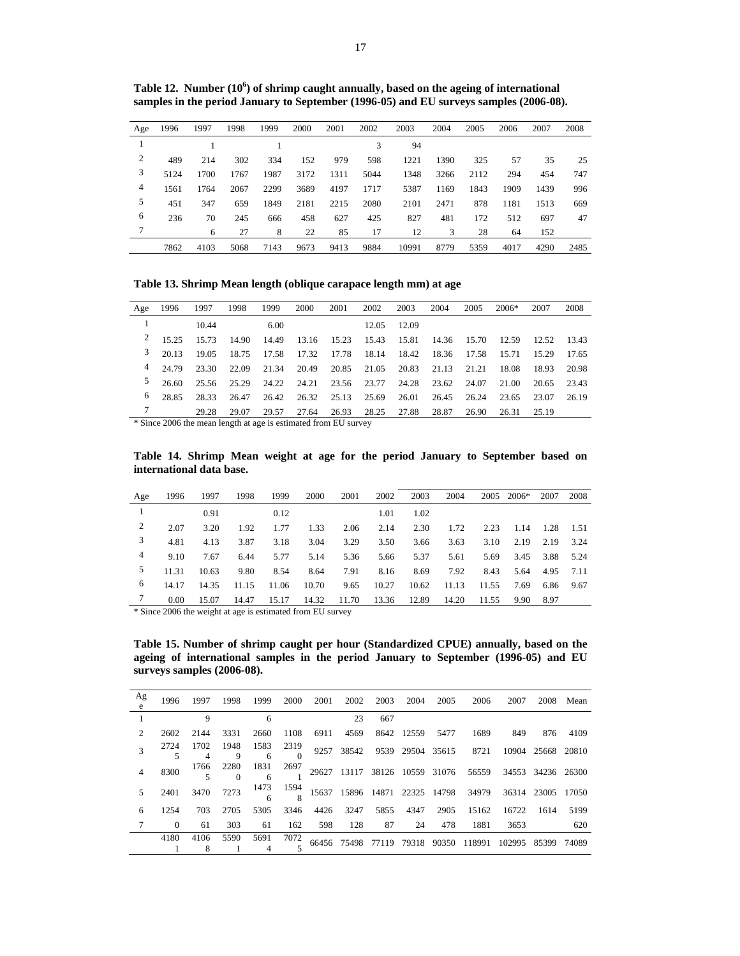| Age | 1996 | 1997 | 1998 | 1999 | 2000 | 2001 | 2002 | 2003  | 2004 | 2005 | 2006 | 2007 | 2008 |
|-----|------|------|------|------|------|------|------|-------|------|------|------|------|------|
|     |      |      |      |      |      |      | 3    | 94    |      |      |      |      |      |
| 2   | 489  | 214  | 302  | 334  | 152  | 979  | 598  | 1221  | 1390 | 325  | 57   | 35   | 25   |
| 3   | 5124 | 1700 | 1767 | 1987 | 3172 | 1311 | 5044 | 1348  | 3266 | 2112 | 294  | 454  | 747  |
| 4   | 1561 | 1764 | 2067 | 2299 | 3689 | 4197 | 1717 | 5387  | 1169 | 1843 | 1909 | 1439 | 996  |
| 5   | 451  | 347  | 659  | 1849 | 2181 | 2215 | 2080 | 2101  | 2471 | 878  | 1181 | 1513 | 669  |
| 6   | 236  | 70   | 245  | 666  | 458  | 627  | 425  | 827   | 481  | 172  | 512  | 697  | 47   |
|     |      | 6    | 27   | 8    | 22   | 85   | 17   | 12    | 3    | 28   | 64   | 152  |      |
|     | 7862 | 4103 | 5068 | 7143 | 9673 | 9413 | 9884 | 10991 | 8779 | 5359 | 4017 | 4290 | 2485 |

Table 12. Number (10<sup>6</sup>) of shrimp caught annually, based on the ageing of international samples in the period January to September (1996-05) and EU surveys samples (2006-08).

**Table 13. Shrimp Mean length (oblique carapace length mm) at age** 

| Age                           | 1996  | 1997  | 1998  | 1999  | 2000                                                                                             | 2001  | 2002              | 2003        | 2004  | 2005  | $2006*$                 | 2007  | 2008    |
|-------------------------------|-------|-------|-------|-------|--------------------------------------------------------------------------------------------------|-------|-------------------|-------------|-------|-------|-------------------------|-------|---------|
|                               |       | 10.44 |       | 6.00  |                                                                                                  |       |                   | 12.05 12.09 |       |       |                         |       |         |
| 2                             | 15.25 | 15.73 | 14.90 | 14.49 | 13.16                                                                                            |       | 15.23 15.43 15.81 |             |       |       | 14.36 15.70 12.59 12.52 |       | 13.43   |
| 3                             | 20.13 | 19.05 | 18.75 | 17.58 | 17.32                                                                                            | 17.78 |                   | 18.14 18.42 | 18.36 | 17.58 | 15.71                   | 15.29 | - 17.65 |
| 4                             | 24.79 | 23.30 | 22.09 | 21.34 | 20.49                                                                                            |       | 20.85 21.05 20.83 |             | 21.13 | 21.21 | 18.08                   | 18.93 | 20.98   |
| 5                             | 26.60 | 25.56 | 25.29 | 24.22 | 24.21                                                                                            | 23.56 | 23.77             | 24.28       | 23.62 | 24.07 | 21.00                   | 20.65 | 23.43   |
| 6                             | 28.85 | 28.33 | 26.47 | 26.42 | 26.32                                                                                            | 25.13 | 25.69             | 26.01       | 26.45 | 26.24 | 23.65                   | 23.07 | 26.19   |
| $\mathbf{u} \cdot \mathbf{u}$ |       | 29.28 | 29.07 | 29.57 | 27.64<br>$0.006 \text{ d}$ $1 \text{ d}$ $1 \text{ e}$ $1 \text{ e}$ $1 \text{ e}$ $1 \text{ e}$ | 26.93 |                   | 28.25 27.88 | 28.87 | 26.90 | 26.31                   | 25.19 |         |

\* Since 2006 the mean length at age is estimated from EU survey

**Table 14. Shrimp Mean weight at age for the period January to September based on international data base.** 

| Age | 1996  | 1997  | 1998  | 1999  | 2000  | 2001  | 2002  | 2003  | 2004  | 2005  | 2006* | 2007 | 2008   |
|-----|-------|-------|-------|-------|-------|-------|-------|-------|-------|-------|-------|------|--------|
|     |       | 0.91  |       | 0.12  |       |       | 1.01  | 1.02  |       |       |       |      |        |
| 2   | 2.07  | 3.20  | 1.92  | 1.77  | 1.33  | 2.06  | 2.14  | 2.30  | 1.72  | 2.23  | 1.14  | 1.28 | - 1.51 |
| 3   | 4.81  | 4.13  | 3.87  | 3.18  | 3.04  | 3.29  | 3.50  | 3.66  | 3.63  | 3.10  | 2.19  | 2.19 | 3.24   |
| 4   | 9.10  | 7.67  | 6.44  | 5.77  | 5.14  | 5.36  | 5.66  | 5.37  | 5.61  | 5.69  | 3.45  | 3.88 | 5.24   |
|     | 11.31 | 10.63 | 9.80  | 8.54  | 8.64  | 7.91  | 8.16  | 8.69  | 7.92  | 8.43  | 5.64  | 4.95 | 7.11   |
| 6   | 14.17 | 14.35 | 11.15 | 11.06 | 10.70 | 9.65  | 10.27 | 10.62 | 11.13 | 11.55 | 7.69  | 6.86 | 9.67   |
|     | 0.00  | 15.07 | 14.47 | 15.17 | 14.32 | 11.70 | 13.36 | 12.89 | 14.20 | 11.55 | 9.90  | 8.97 |        |

\* Since 2006 the weight at age is estimated from EU survey

**Table 15. Number of shrimp caught per hour (Standardized CPUE) annually, based on the ageing of international samples in the period January to September (1996-05) and EU surveys samples (2006-08).** 

| Ag<br>e | 1996     | 1997 | 1998 | 1999             | 2000             | 2001 | 2002       | 2003 | 2004       | 2005 | 2006                  | 2007                                                  |             | 2008 Mean |
|---------|----------|------|------|------------------|------------------|------|------------|------|------------|------|-----------------------|-------------------------------------------------------|-------------|-----------|
|         |          | 9    |      | 6                |                  |      | 23         | 667  |            |      |                       |                                                       |             |           |
|         | 2602     | 2144 | 3331 | 2660             | 1108             | 6911 | 4569       |      | 8642 12559 | 5477 | 1689                  | 849                                                   | 876         | 4109      |
|         | 2724     | 1702 | 1948 | 1583             | 2319             |      | 9257 38542 |      |            |      | 9539 29504 35615 8721 | 10904                                                 | 25668 20810 |           |
|         | 8300     | 1766 | 2280 | 1831             | 2697             |      |            |      |            |      |                       | 29627 13117 38126 10559 31076 56559 34553 34236 26300 |             |           |
|         | 2401     | 3470 | 7273 | $\frac{1473}{6}$ | $\frac{1594}{8}$ |      |            |      |            |      |                       | 15637 15896 14871 22325 14798 34979 36314 23005 17050 |             |           |
| 6       | 1254     | 703  | 2705 | 5305             | 3346             | 4426 | 3247       | 5855 | 4347       | 2905 | 15162                 | 16722                                                 | 1614        | 5199      |
|         | $\Omega$ | 61   | 303  | 61               | 162              | 598  | 128        | 87   | 24         | 478  | 1881                  | 3653                                                  |             | 620       |
|         | 4180     | 4106 | 5590 | 5691             | 7072             |      |            |      |            |      |                       | 66456 75498 77119 79318 90350 118991 102995           | 85399 74089 |           |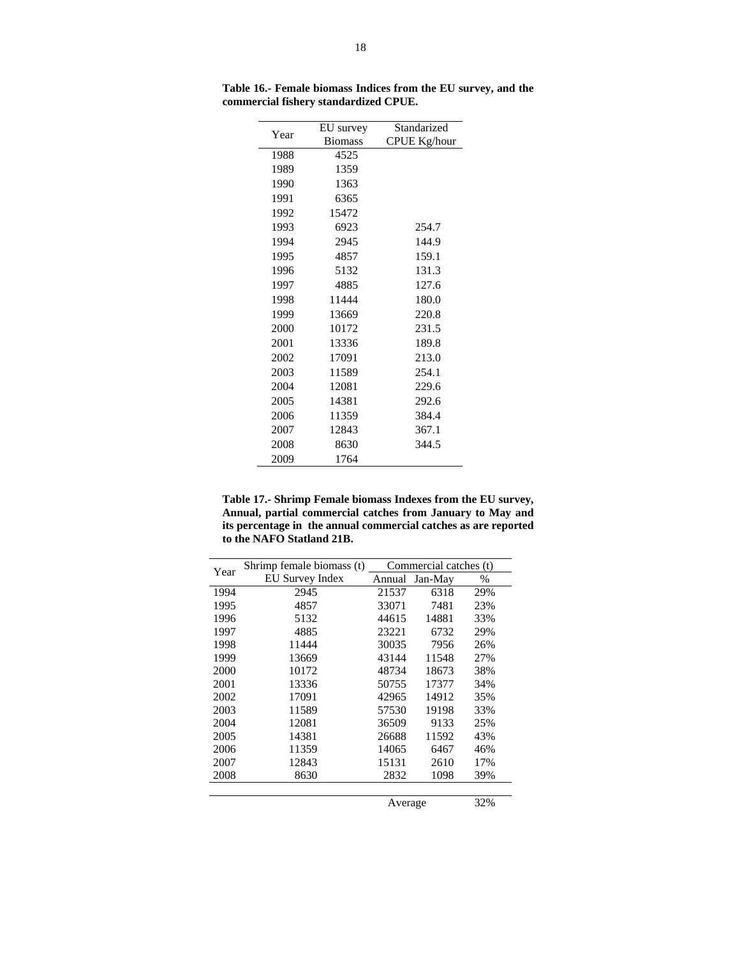| Year | EU survey      | Standarized         |
|------|----------------|---------------------|
|      | <b>Biomass</b> | <b>CPUE Kg/hour</b> |
| 1988 | 4525           |                     |
| 1989 | 1359           |                     |
| 1990 | 1363           |                     |
| 1991 | 6365           |                     |
| 1992 | 15472          |                     |
| 1993 | 6923           | 254.7               |
| 1994 | 2945           | 144.9               |
| 1995 | 4857           | 159.1               |
| 1996 | 5132           | 131.3               |
| 1997 | 4885           | 127.6               |
| 1998 | 11444          | 180.0               |
| 1999 | 13669          | 220.8               |
| 2000 | 10172          | 231.5               |
| 2001 | 13336          | 189.8               |
| 2002 | 17091          | 213.0               |
| 2003 | 11589          | 254.1               |
| 2004 | 12081          | 229.6               |
| 2005 | 14381          | 292.6               |
| 2006 | 11359          | 384.4               |
| 2007 | 12843          | 367.1               |
| 2008 | 8630           | 344.5               |
| 2009 | 1764           |                     |

**Table 16.- Female biomass Indices from the EU survey, and the commercial fishery standardized CPUE.** 

**Table 17.- Shrimp Female biomass Indexes from the EU survey, Annual, partial commercial catches from January to May and its percentage in the annual commercial catches as are reported to the NAFO Statland 21B.** 

| Year | Shrimp female biomass (t) | Commercial catches (t) |         |      |  |  |
|------|---------------------------|------------------------|---------|------|--|--|
|      | <b>EU Survey Index</b>    | Annual                 | Jan-May | $\%$ |  |  |
| 1994 | 2945                      | 21537                  | 6318    | 29%  |  |  |
| 1995 | 4857                      | 33071                  | 7481    | 23%  |  |  |
| 1996 | 5132                      | 44615                  | 14881   | 33%  |  |  |
| 1997 | 4885                      | 23221                  | 6732    | 29%  |  |  |
| 1998 | 11444                     | 30035                  | 7956    | 26%  |  |  |
| 1999 | 13669                     | 43144                  | 11548   | 27%  |  |  |
| 2000 | 10172                     | 48734                  | 18673   | 38%  |  |  |
| 2001 | 13336                     | 50755                  | 17377   | 34%  |  |  |
| 2002 | 17091                     | 42965                  | 14912   | 35%  |  |  |
| 2003 | 11589                     | 57530                  | 19198   | 33%  |  |  |
| 2004 | 12081                     | 36509                  | 9133    | 25%  |  |  |
| 2005 | 14381                     | 26688                  | 11592   | 43%  |  |  |
| 2006 | 11359                     | 14065                  | 6467    | 46%  |  |  |
| 2007 | 12843                     | 15131                  | 2610    | 17%  |  |  |
| 2008 | 8630                      | 2832                   | 1098    | 39%  |  |  |
|      |                           |                        |         |      |  |  |

Average 32%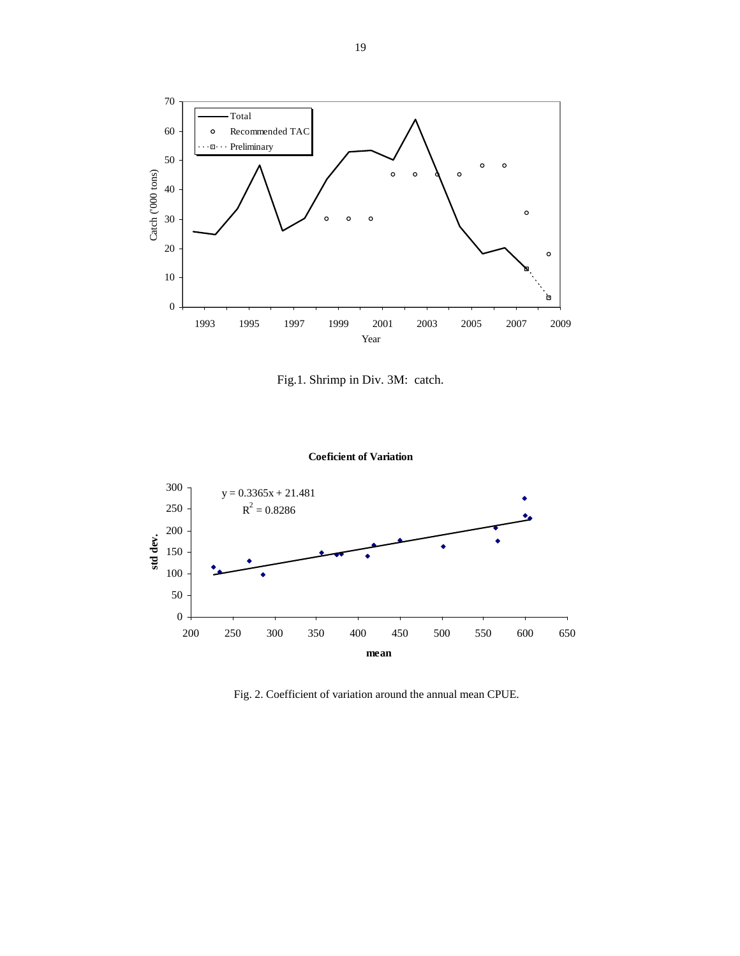

Fig.1. Shrimp in Div. 3M: catch.





Fig. 2. Coefficient of variation around the annual mean CPUE.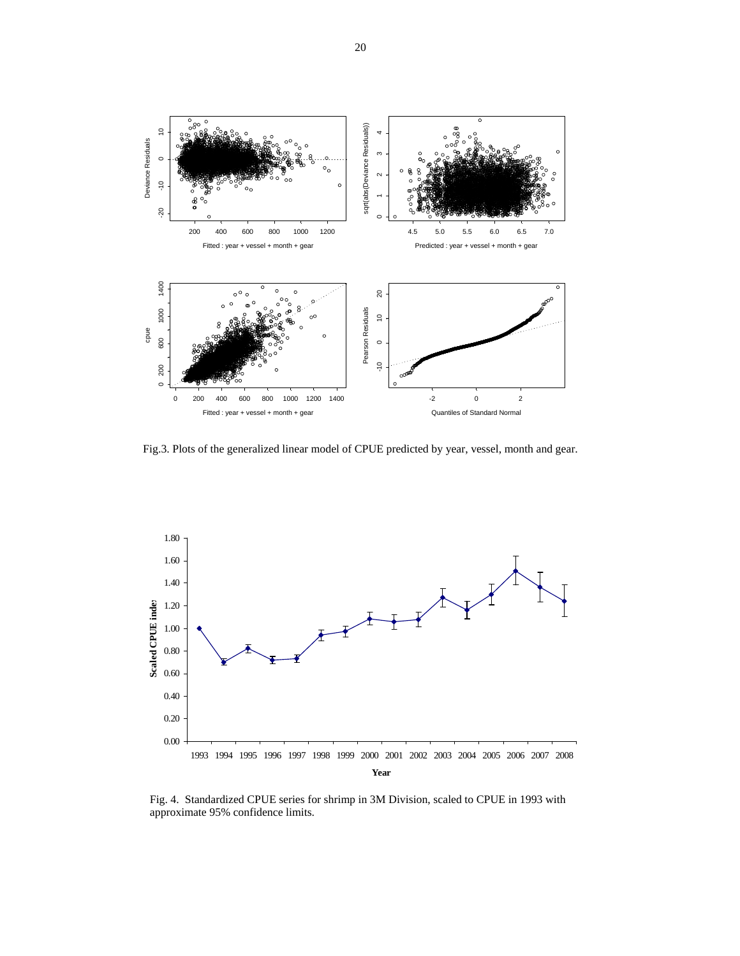

Fig.3. Plots of the generalized linear model of CPUE predicted by year, vessel, month and gear.



Fig. 4. Standardized CPUE series for shrimp in 3M Division, scaled to CPUE in 1993 with approximate 95% confidence limits.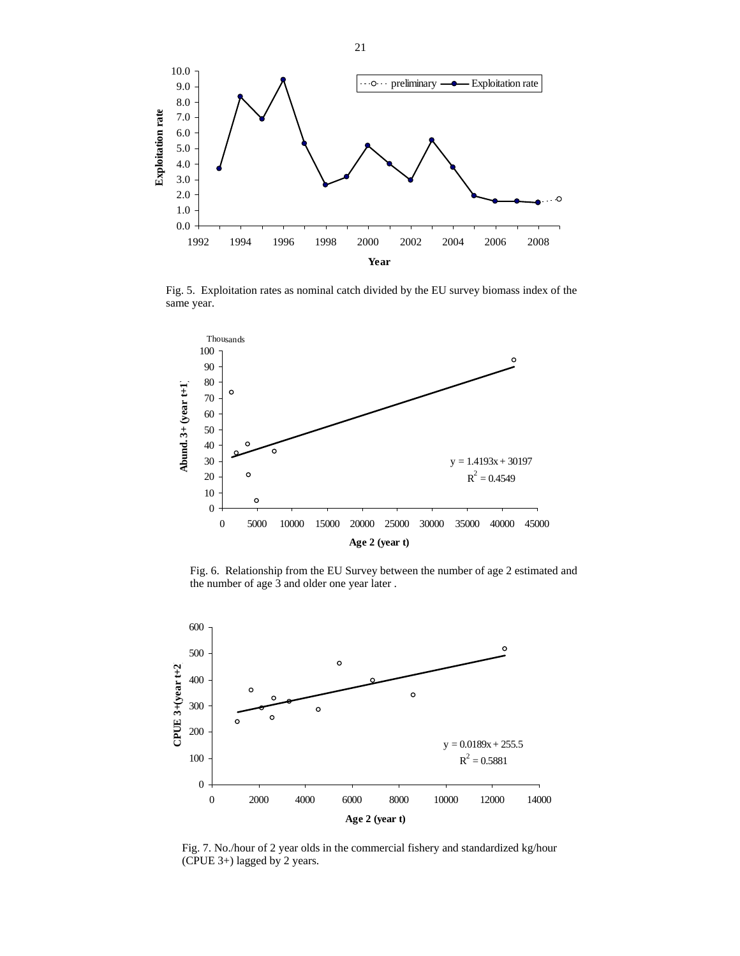

Fig. 5. Exploitation rates as nominal catch divided by the EU survey biomass index of the same year.



Fig. 6. Relationship from the EU Survey between the number of age 2 estimated and the number of age 3 and older one year later .



Fig. 7. No./hour of 2 year olds in the commercial fishery and standardized kg/hour (CPUE 3+) lagged by 2 years.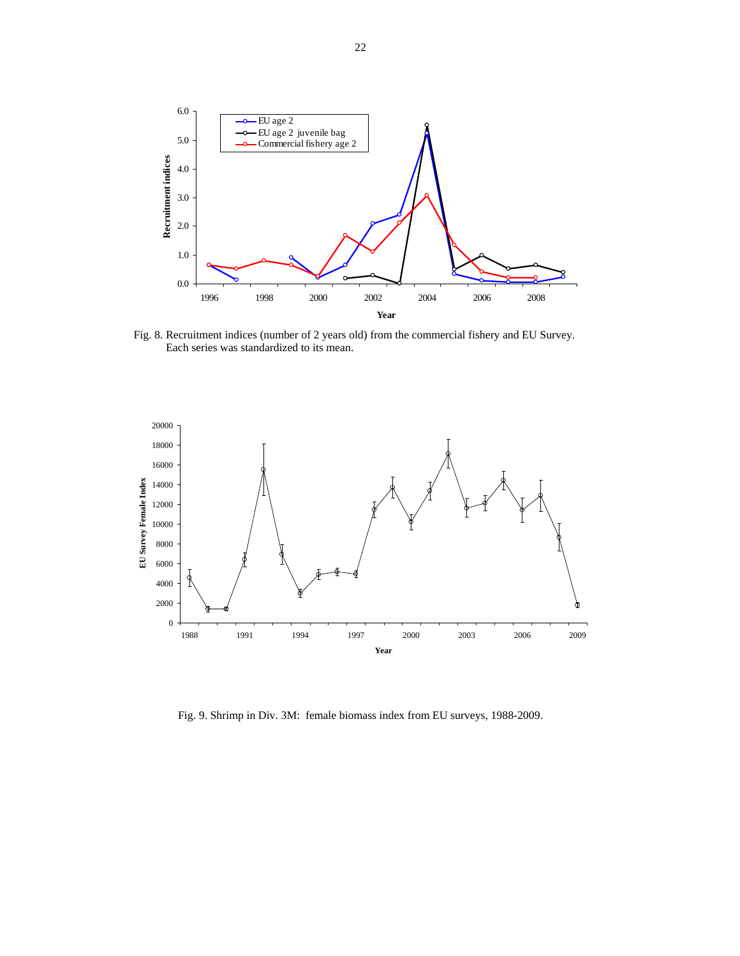

Fig. 8. Recruitment indices (number of 2 years old) from the commercial fishery and EU Survey. Each series was standardized to its mean.



Fig. 9. Shrimp in Div. 3M: female biomass index from EU surveys, 1988-2009.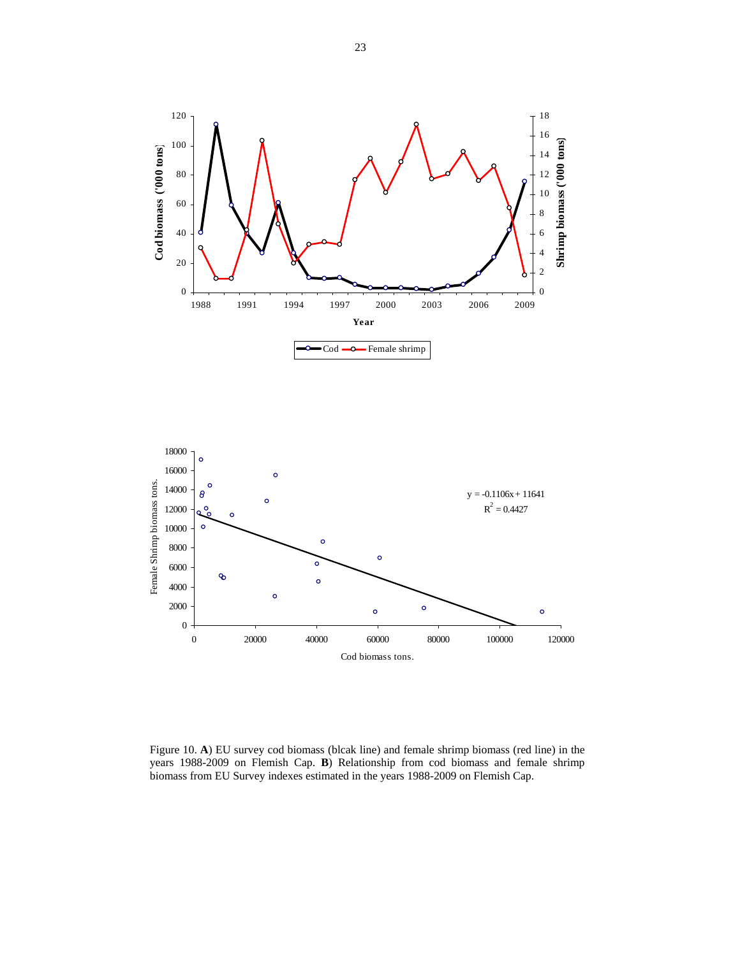



Figure 10. **A**) EU survey cod biomass (blcak line) and female shrimp biomass (red line) in the years 1988-2009 on Flemish Cap. **B**) Relationship from cod biomass and female shrimp biomass from EU Survey indexes estimated in the years 1988-2009 on Flemish Cap.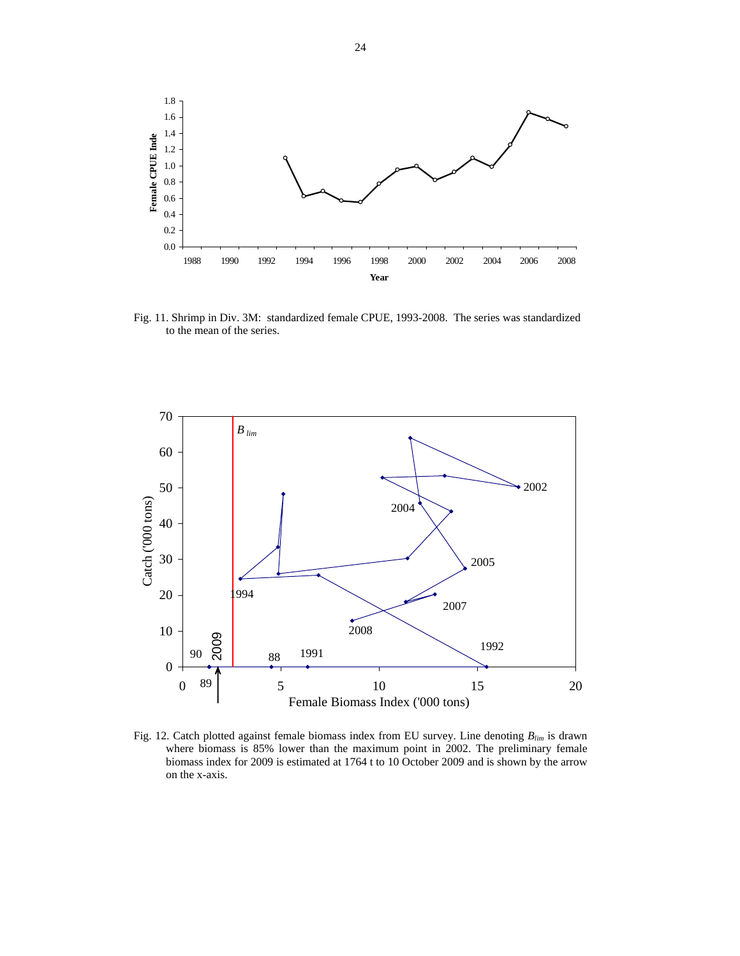

Fig. 11. Shrimp in Div. 3M: standardized female CPUE, 1993-2008. The series was standardized to the mean of the series.



Fig. 12. Catch plotted against female biomass index from EU survey. Line denoting *Blim* is drawn where biomass is 85% lower than the maximum point in 2002. The preliminary female biomass index for 2009 is estimated at 1764 t to 10 October 2009 and is shown by the arrow on the x-axis.